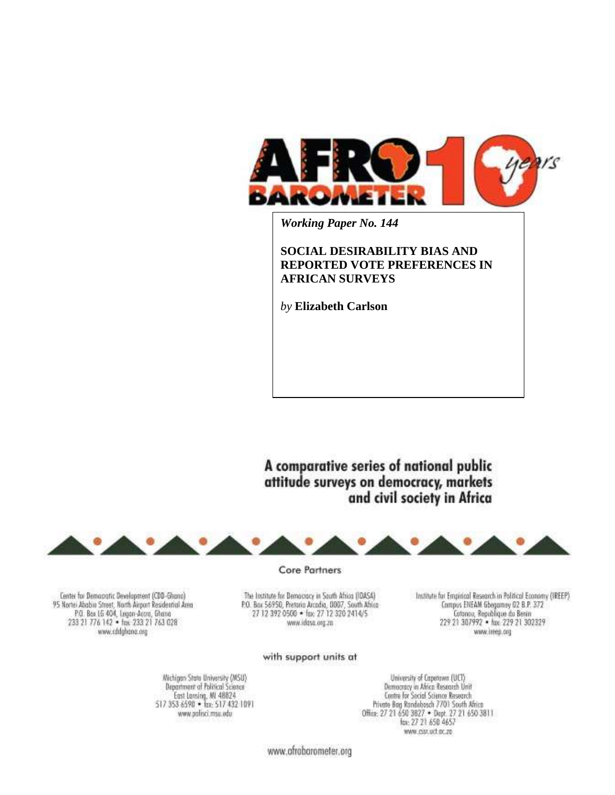

*Working Paper No. 144*

## **SOCIAL DESIRABILITY BIAS AND REPORTED VOTE PREFERENCES IN AFRICAN SURVEYS**

*by* **Elizabeth Carlson**

A comparative series of national public attitude surveys on democracy, markets and civil society in Africa



Center for Democratic Development (CDD-Ghano) 95 Nortei Ababio Street, North Airport Residential Area P.O. Box 15 404, Legen-Accro, Ghana<br>233 21 776 142 · fax: 233 21 763 028 www.eddshone.org

Core Partners

The Institute for Democracy in South Africa (IDASA) P.O. Box 56950, Pretorio Arcedia, 0007, South Africa<br>27 12 392 0500 - fax: 27 12 320 2414/5 www.idosa.org.zn

Institute for Empirical Research in Political Economy (IREEP) Compus ENEAM Gbegamey 02 B.P. 372 Cotonou, Republique du Berin<br>229 21 307992 • fax: 229 21 302329 www.ireep.org

#### with support units at

Wichigan State University (MSU) Department of Political Science East Lansing, MI 48824<br>517 353 6590 • Tax: 517 432 1091 www.polisci.msu.edu

University of Capetawa (UCT) Democracy in Africa Research Unit Centre for Social Science Research Private Bag Rondebosch 7701 South Africa Office: 27 21 650 3827 . Dept. 27 21 650 3811 fax: 27 21 650 4657 www.csst.oct.oc.zo

www.afrobarometer.org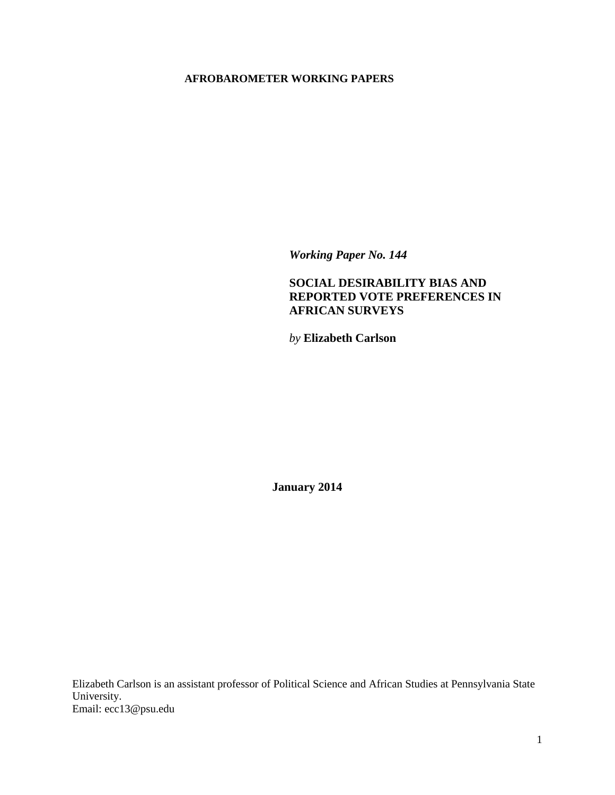### **AFROBAROMETER WORKING PAPERS**

*Working Paper No. 144*

# **SOCIAL DESIRABILITY BIAS AND REPORTED VOTE PREFERENCES IN AFRICAN SURVEYS**

*by* **Elizabeth Carlson**

**January 2014**

Elizabeth Carlson is an assistant professor of Political Science and African Studies at Pennsylvania State University. Email: ecc13@psu.edu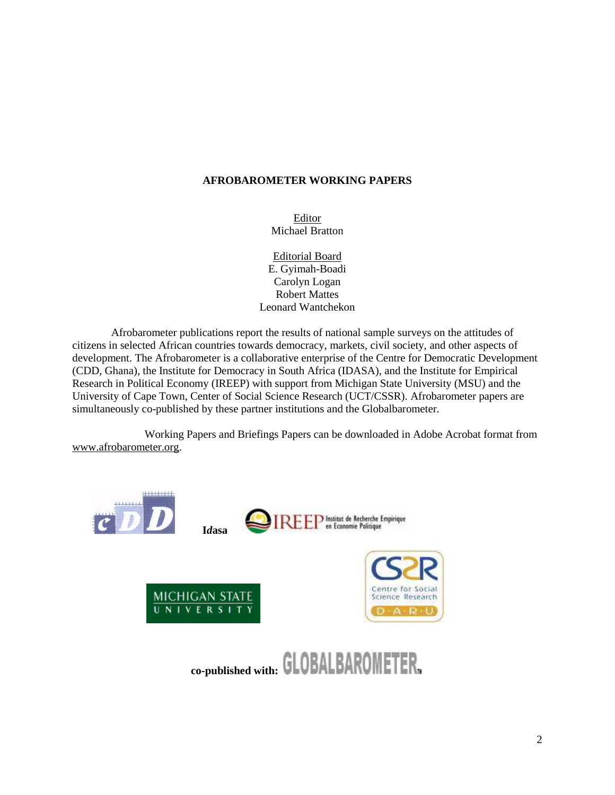### **AFROBAROMETER WORKING PAPERS**

Editor Michael Bratton

Editorial Board E. Gyimah-Boadi Carolyn Logan Robert Mattes Leonard Wantchekon

Afrobarometer publications report the results of national sample surveys on the attitudes of citizens in selected African countries towards democracy, markets, civil society, and other aspects of development. The Afrobarometer is a collaborative enterprise of the Centre for Democratic Development (CDD, Ghana), the Institute for Democracy in South Africa (IDASA), and the Institute for Empirical Research in Political Economy (IREEP) with support from Michigan State University (MSU) and the University of Cape Town, Center of Social Science Research (UCT/CSSR). Afrobarometer papers are simultaneously co-published by these partner institutions and the Globalbarometer.

Working Papers and Briefings Papers can be downloaded in Adobe Acrobat format from [www.afrobarometer.org.](http://www.afrobarometer.org/)

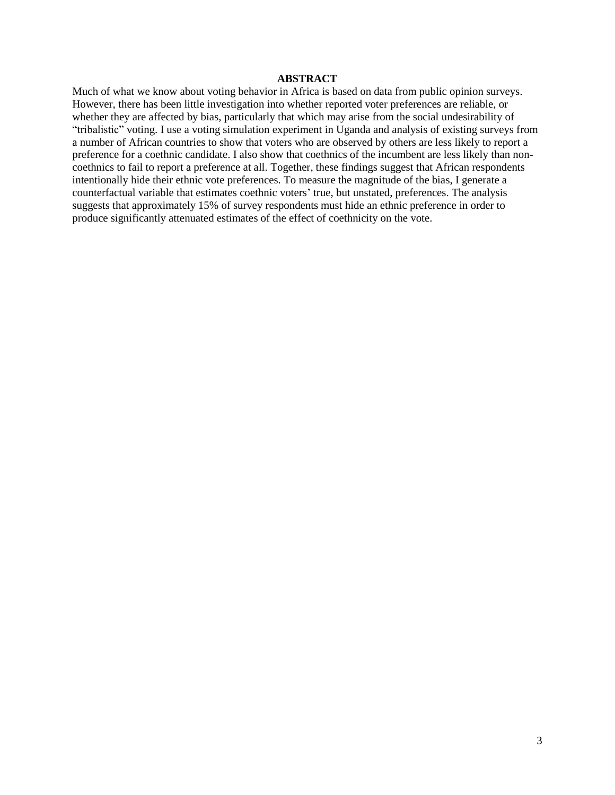### **ABSTRACT**

Much of what we know about voting behavior in Africa is based on data from public opinion surveys. However, there has been little investigation into whether reported voter preferences are reliable, or whether they are affected by bias, particularly that which may arise from the social undesirability of "tribalistic" voting. I use a voting simulation experiment in Uganda and analysis of existing surveys from a number of African countries to show that voters who are observed by others are less likely to report a preference for a coethnic candidate. I also show that coethnics of the incumbent are less likely than noncoethnics to fail to report a preference at all. Together, these findings suggest that African respondents intentionally hide their ethnic vote preferences. To measure the magnitude of the bias, I generate a counterfactual variable that estimates coethnic voters' true, but unstated, preferences. The analysis suggests that approximately 15% of survey respondents must hide an ethnic preference in order to produce significantly attenuated estimates of the effect of coethnicity on the vote.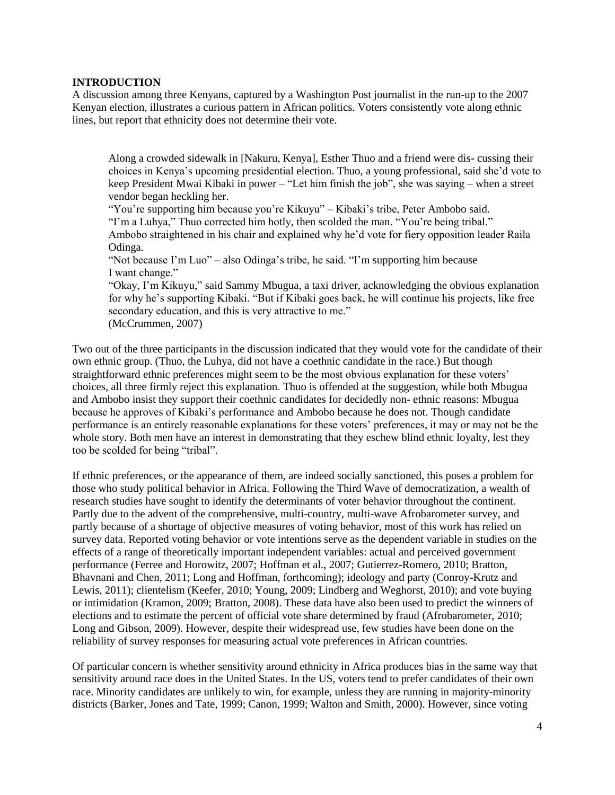### **INTRODUCTION**

A discussion among three Kenyans, captured by a Washington Post journalist in the run-up to the 2007 Kenyan election, illustrates a curious pattern in African politics. Voters consistently vote along ethnic lines, but report that ethnicity does not determine their vote.

Along a crowded sidewalk in [Nakuru, Kenya], Esther Thuo and a friend were dis- cussing their choices in Kenya's upcoming presidential election. Thuo, a young professional, said she'd vote to keep President Mwai Kibaki in power – "Let him finish the job", she was saying – when a street vendor began heckling her.

"You're supporting him because you're Kikuyu" – Kibaki's tribe, Peter Ambobo said. "I'm a Luhya," Thuo corrected him hotly, then scolded the man. "You're being tribal." Ambobo straightened in his chair and explained why he'd vote for fiery opposition leader Raila Odinga.

"Not because I'm Luo" – also Odinga's tribe, he said. "I'm supporting him because I want change."

"Okay, I'm Kikuyu," said Sammy Mbugua, a taxi driver, acknowledging the obvious explanation for why he's supporting Kibaki. "But if Kibaki goes back, he will continue his projects, like free secondary education, and this is very attractive to me." (McCrummen, 2007)

Two out of the three participants in the discussion indicated that they would vote for the candidate of their own ethnic group. (Thuo, the Luhya, did not have a coethnic candidate in the race.) But though straightforward ethnic preferences might seem to be the most obvious explanation for these voters' choices, all three firmly reject this explanation. Thuo is offended at the suggestion, while both Mbugua and Ambobo insist they support their coethnic candidates for decidedly non- ethnic reasons: Mbugua because he approves of Kibaki's performance and Ambobo because he does not. Though candidate performance is an entirely reasonable explanations for these voters' preferences, it may or may not be the whole story. Both men have an interest in demonstrating that they eschew blind ethnic loyalty, lest they too be scolded for being "tribal".

If ethnic preferences, or the appearance of them, are indeed socially sanctioned, this poses a problem for those who study political behavior in Africa. Following the Third Wave of democratization, a wealth of research studies have sought to identify the determinants of voter behavior throughout the continent. Partly due to the advent of the comprehensive, multi-country, multi-wave Afrobarometer survey, and partly because of a shortage of objective measures of voting behavior, most of this work has relied on survey data. Reported voting behavior or vote intentions serve as the dependent variable in studies on the effects of a range of theoretically important independent variables: actual and perceived government performance (Ferree and Horowitz, 2007; Hoffman et al., 2007; Gutierrez-Romero, 2010; Bratton, Bhavnani and Chen, 2011; Long and Hoffman, forthcoming); ideology and party (Conroy-Krutz and Lewis, 2011); clientelism (Keefer, 2010; Young, 2009; Lindberg and Weghorst, 2010); and vote buying or intimidation (Kramon, 2009; Bratton, 2008). These data have also been used to predict the winners of elections and to estimate the percent of official vote share determined by fraud (Afrobarometer, 2010; Long and Gibson, 2009). However, despite their widespread use, few studies have been done on the reliability of survey responses for measuring actual vote preferences in African countries.

Of particular concern is whether sensitivity around ethnicity in Africa produces bias in the same way that sensitivity around race does in the United States. In the US, voters tend to prefer candidates of their own race. Minority candidates are unlikely to win, for example, unless they are running in majority-minority districts (Barker, Jones and Tate, 1999; Canon, 1999; Walton and Smith, 2000). However, since voting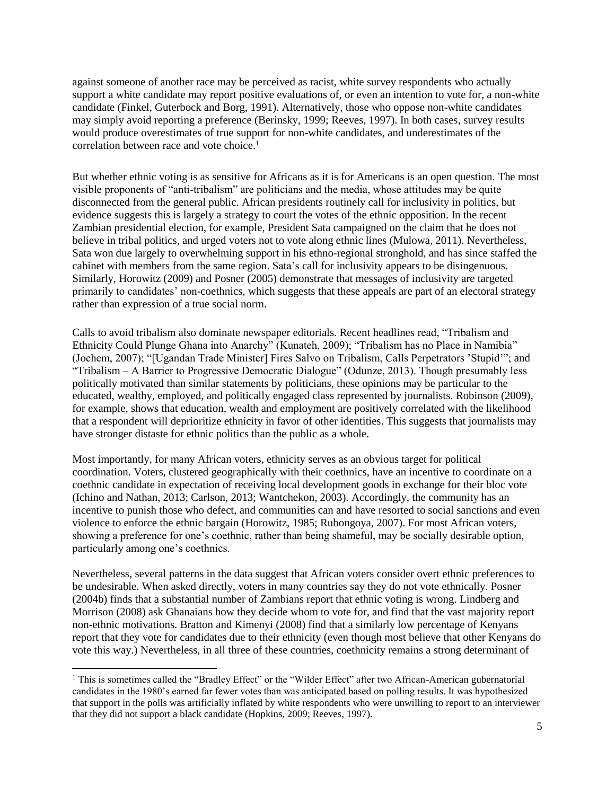against someone of another race may be perceived as racist, white survey respondents who actually support a white candidate may report positive evaluations of, or even an intention to vote for, a non-white candidate (Finkel, Guterbock and Borg, 1991). Alternatively, those who oppose non-white candidates may simply avoid reporting a preference (Berinsky, 1999; Reeves, 1997). In both cases, survey results would produce overestimates of true support for non-white candidates, and underestimates of the correlation between race and vote choice.<sup>1</sup>

But whether ethnic voting is as sensitive for Africans as it is for Americans is an open question. The most visible proponents of "anti-tribalism" are politicians and the media, whose attitudes may be quite disconnected from the general public. African presidents routinely call for inclusivity in politics, but evidence suggests this is largely a strategy to court the votes of the ethnic opposition. In the recent Zambian presidential election, for example, President Sata campaigned on the claim that he does not believe in tribal politics, and urged voters not to vote along ethnic lines (Mulowa, 2011). Nevertheless, Sata won due largely to overwhelming support in his ethno-regional stronghold, and has since staffed the cabinet with members from the same region. Sata's call for inclusivity appears to be disingenuous. Similarly, Horowitz (2009) and Posner (2005) demonstrate that messages of inclusivity are targeted primarily to candidates' non-coethnics, which suggests that these appeals are part of an electoral strategy rather than expression of a true social norm.

Calls to avoid tribalism also dominate newspaper editorials. Recent headlines read, "Tribalism and Ethnicity Could Plunge Ghana into Anarchy" (Kunateh, 2009); "Tribalism has no Place in Namibia" (Jochem, 2007); "[Ugandan Trade Minister] Fires Salvo on Tribalism, Calls Perpetrators 'Stupid'"; and "Tribalism – A Barrier to Progressive Democratic Dialogue" (Odunze, 2013). Though presumably less politically motivated than similar statements by politicians, these opinions may be particular to the educated, wealthy, employed, and politically engaged class represented by journalists. Robinson (2009), for example, shows that education, wealth and employment are positively correlated with the likelihood that a respondent will deprioritize ethnicity in favor of other identities. This suggests that journalists may have stronger distaste for ethnic politics than the public as a whole.

Most importantly, for many African voters, ethnicity serves as an obvious target for political coordination. Voters, clustered geographically with their coethnics, have an incentive to coordinate on a coethnic candidate in expectation of receiving local development goods in exchange for their bloc vote (Ichino and Nathan, 2013; Carlson, 2013; Wantchekon, 2003). Accordingly, the community has an incentive to punish those who defect, and communities can and have resorted to social sanctions and even violence to enforce the ethnic bargain (Horowitz, 1985; Rubongoya, 2007). For most African voters, showing a preference for one's coethnic, rather than being shameful, may be socially desirable option, particularly among one's coethnics.

Nevertheless, several patterns in the data suggest that African voters consider overt ethnic preferences to be undesirable. When asked directly, voters in many countries say they do not vote ethnically. Posner (2004b) finds that a substantial number of Zambians report that ethnic voting is wrong. Lindberg and Morrison (2008) ask Ghanaians how they decide whom to vote for, and find that the vast majority report non-ethnic motivations. Bratton and Kimenyi (2008) find that a similarly low percentage of Kenyans report that they vote for candidates due to their ethnicity (even though most believe that other Kenyans do vote this way.) Nevertheless, in all three of these countries, coethnicity remains a strong determinant of

l

<sup>&</sup>lt;sup>1</sup> This is sometimes called the "Bradley Effect" or the "Wilder Effect" after two African-American gubernatorial candidates in the 1980's earned far fewer votes than was anticipated based on polling results. It was hypothesized that support in the polls was artificially inflated by white respondents who were unwilling to report to an interviewer that they did not support a black candidate (Hopkins, 2009; Reeves, 1997).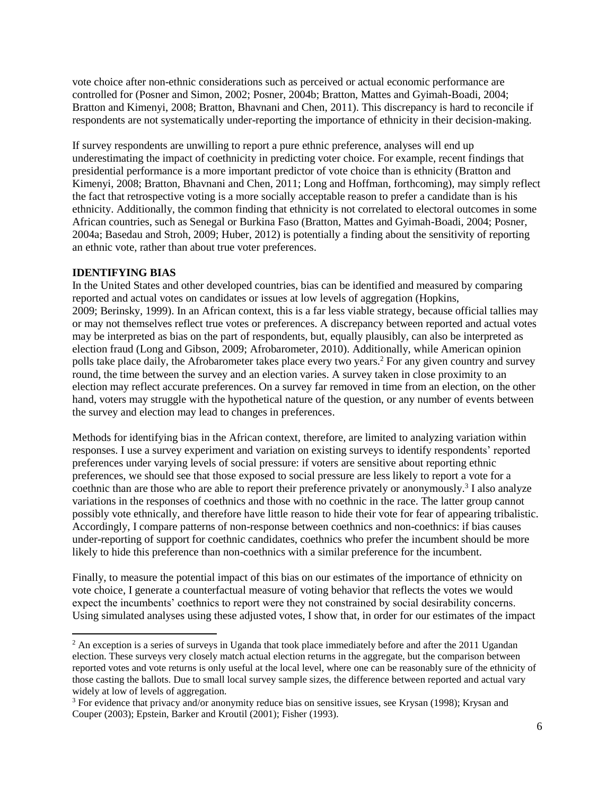vote choice after non-ethnic considerations such as perceived or actual economic performance are controlled for (Posner and Simon, 2002; Posner, 2004b; Bratton, Mattes and Gyimah-Boadi, 2004; Bratton and Kimenyi, 2008; Bratton, Bhavnani and Chen, 2011). This discrepancy is hard to reconcile if respondents are not systematically under-reporting the importance of ethnicity in their decision-making.

If survey respondents are unwilling to report a pure ethnic preference, analyses will end up underestimating the impact of coethnicity in predicting voter choice. For example, recent findings that presidential performance is a more important predictor of vote choice than is ethnicity (Bratton and Kimenyi, 2008; Bratton, Bhavnani and Chen, 2011; Long and Hoffman, forthcoming), may simply reflect the fact that retrospective voting is a more socially acceptable reason to prefer a candidate than is his ethnicity. Additionally, the common finding that ethnicity is not correlated to electoral outcomes in some African countries, such as Senegal or Burkina Faso (Bratton, Mattes and Gyimah-Boadi, 2004; Posner, 2004a; Basedau and Stroh, 2009; Huber, 2012) is potentially a finding about the sensitivity of reporting an ethnic vote, rather than about true voter preferences.

### **IDENTIFYING BIAS**

 $\overline{\phantom{a}}$ 

In the United States and other developed countries, bias can be identified and measured by comparing reported and actual votes on candidates or issues at low levels of aggregation (Hopkins, 2009; Berinsky, 1999). In an African context, this is a far less viable strategy, because official tallies may or may not themselves reflect true votes or preferences. A discrepancy between reported and actual votes may be interpreted as bias on the part of respondents, but, equally plausibly, can also be interpreted as election fraud (Long and Gibson, 2009; Afrobarometer, 2010). Additionally, while American opinion polls take place daily, the Afrobarometer takes place every two years.<sup>2</sup> For any given country and survey round, the time between the survey and an election varies. A survey taken in close proximity to an election may reflect accurate preferences. On a survey far removed in time from an election, on the other hand, voters may struggle with the hypothetical nature of the question, or any number of events between the survey and election may lead to changes in preferences.

Methods for identifying bias in the African context, therefore, are limited to analyzing variation within responses. I use a survey experiment and variation on existing surveys to identify respondents' reported preferences under varying levels of social pressure: if voters are sensitive about reporting ethnic preferences, we should see that those exposed to social pressure are less likely to report a vote for a coethnic than are those who are able to report their preference privately or anonymously.<sup>3</sup> I also analyze variations in the responses of coethnics and those with no coethnic in the race. The latter group cannot possibly vote ethnically, and therefore have little reason to hide their vote for fear of appearing tribalistic. Accordingly, I compare patterns of non-response between coethnics and non-coethnics: if bias causes under-reporting of support for coethnic candidates, coethnics who prefer the incumbent should be more likely to hide this preference than non-coethnics with a similar preference for the incumbent.

Finally, to measure the potential impact of this bias on our estimates of the importance of ethnicity on vote choice, I generate a counterfactual measure of voting behavior that reflects the votes we would expect the incumbents' coethnics to report were they not constrained by social desirability concerns. Using simulated analyses using these adjusted votes, I show that, in order for our estimates of the impact

<sup>&</sup>lt;sup>2</sup> An exception is a series of surveys in Uganda that took place immediately before and after the 2011 Ugandan election. These surveys very closely match actual election returns in the aggregate, but the comparison between reported votes and vote returns is only useful at the local level, where one can be reasonably sure of the ethnicity of those casting the ballots. Due to small local survey sample sizes, the difference between reported and actual vary widely at low of levels of aggregation.

<sup>&</sup>lt;sup>3</sup> For evidence that privacy and/or anonymity reduce bias on sensitive issues, see Krysan (1998); Krysan and Couper (2003); Epstein, Barker and Kroutil (2001); Fisher (1993).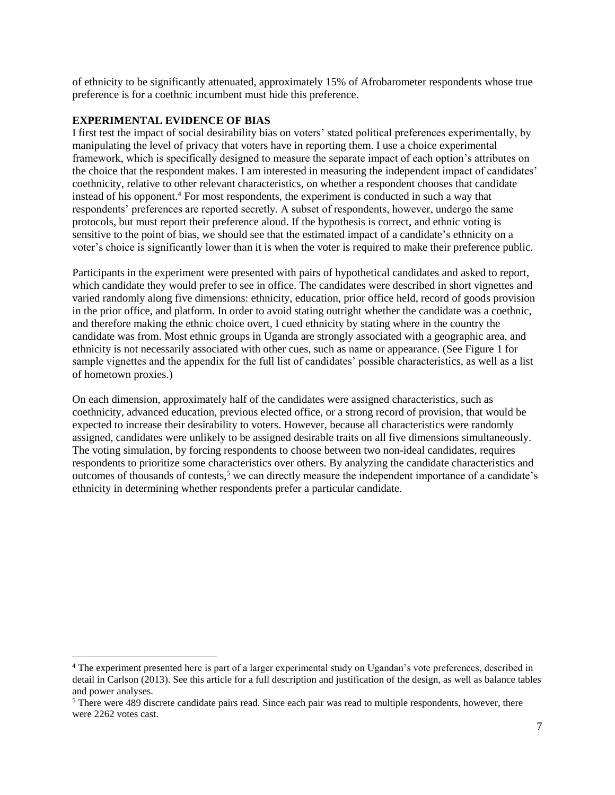of ethnicity to be significantly attenuated, approximately 15% of Afrobarometer respondents whose true preference is for a coethnic incumbent must hide this preference.

#### **EXPERIMENTAL EVIDENCE OF BIAS**

 $\overline{\phantom{a}}$ 

I first test the impact of social desirability bias on voters' stated political preferences experimentally, by manipulating the level of privacy that voters have in reporting them. I use a choice experimental framework, which is specifically designed to measure the separate impact of each option's attributes on the choice that the respondent makes. I am interested in measuring the independent impact of candidates' coethnicity, relative to other relevant characteristics, on whether a respondent chooses that candidate instead of his opponent.<sup>4</sup> For most respondents, the experiment is conducted in such a way that respondents' preferences are reported secretly. A subset of respondents, however, undergo the same protocols, but must report their preference aloud. If the hypothesis is correct, and ethnic voting is sensitive to the point of bias, we should see that the estimated impact of a candidate's ethnicity on a voter's choice is significantly lower than it is when the voter is required to make their preference public.

Participants in the experiment were presented with pairs of hypothetical candidates and asked to report, which candidate they would prefer to see in office. The candidates were described in short vignettes and varied randomly along five dimensions: ethnicity, education, prior office held, record of goods provision in the prior office, and platform. In order to avoid stating outright whether the candidate was a coethnic, and therefore making the ethnic choice overt, I cued ethnicity by stating where in the country the candidate was from. Most ethnic groups in Uganda are strongly associated with a geographic area, and ethnicity is not necessarily associated with other cues, such as name or appearance. (See Figure 1 for sample vignettes and the appendix for the full list of candidates' possible characteristics, as well as a list of hometown proxies.)

On each dimension, approximately half of the candidates were assigned characteristics, such as coethnicity, advanced education, previous elected office, or a strong record of provision, that would be expected to increase their desirability to voters. However, because all characteristics were randomly assigned, candidates were unlikely to be assigned desirable traits on all five dimensions simultaneously. The voting simulation, by forcing respondents to choose between two non-ideal candidates, requires respondents to prioritize some characteristics over others. By analyzing the candidate characteristics and outcomes of thousands of contests,<sup>5</sup> we can directly measure the independent importance of a candidate's ethnicity in determining whether respondents prefer a particular candidate.

<sup>4</sup> The experiment presented here is part of a larger experimental study on Ugandan's vote preferences, described in detail in Carlson (2013). See this article for a full description and justification of the design, as well as balance tables and power analyses.

<sup>&</sup>lt;sup>5</sup> There were 489 discrete candidate pairs read. Since each pair was read to multiple respondents, however, there were 2262 votes cast.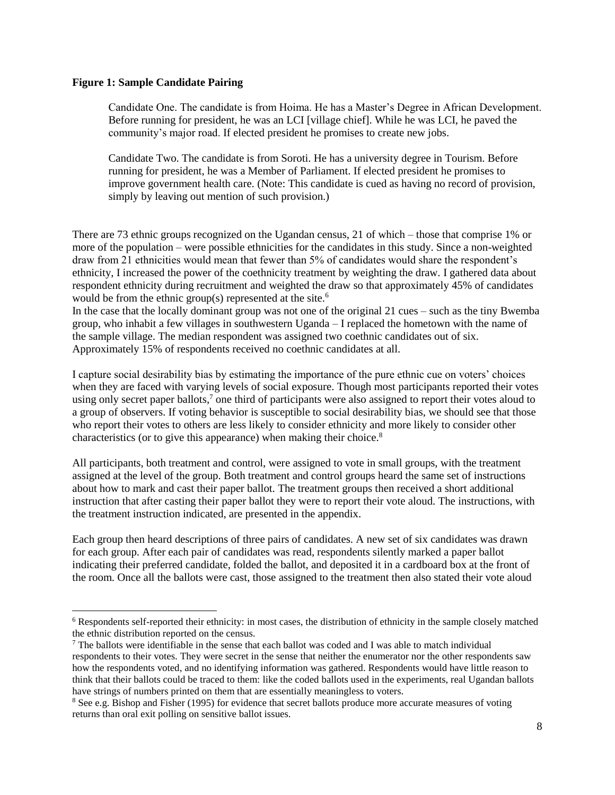### **Figure 1: Sample Candidate Pairing**

 $\overline{a}$ 

Candidate One. The candidate is from Hoima. He has a Master's Degree in African Development. Before running for president, he was an LCI [village chief]. While he was LCI, he paved the community's major road. If elected president he promises to create new jobs.

Candidate Two. The candidate is from Soroti. He has a university degree in Tourism. Before running for president, he was a Member of Parliament. If elected president he promises to improve government health care. (Note: This candidate is cued as having no record of provision, simply by leaving out mention of such provision.)

There are 73 ethnic groups recognized on the Ugandan census, 21 of which – those that comprise 1% or more of the population – were possible ethnicities for the candidates in this study. Since a non-weighted draw from 21 ethnicities would mean that fewer than 5% of candidates would share the respondent's ethnicity, I increased the power of the coethnicity treatment by weighting the draw. I gathered data about respondent ethnicity during recruitment and weighted the draw so that approximately 45% of candidates would be from the ethnic group(s) represented at the site.<sup>6</sup>

In the case that the locally dominant group was not one of the original 21 cues – such as the tiny Bwemba group, who inhabit a few villages in southwestern Uganda – I replaced the hometown with the name of the sample village. The median respondent was assigned two coethnic candidates out of six. Approximately 15% of respondents received no coethnic candidates at all.

I capture social desirability bias by estimating the importance of the pure ethnic cue on voters' choices when they are faced with varying levels of social exposure. Though most participants reported their votes using only secret paper ballots,<sup>7</sup> one third of participants were also assigned to report their votes aloud to a group of observers. If voting behavior is susceptible to social desirability bias, we should see that those who report their votes to others are less likely to consider ethnicity and more likely to consider other characteristics (or to give this appearance) when making their choice.<sup>8</sup>

All participants, both treatment and control, were assigned to vote in small groups, with the treatment assigned at the level of the group. Both treatment and control groups heard the same set of instructions about how to mark and cast their paper ballot. The treatment groups then received a short additional instruction that after casting their paper ballot they were to report their vote aloud. The instructions, with the treatment instruction indicated, are presented in the appendix.

Each group then heard descriptions of three pairs of candidates. A new set of six candidates was drawn for each group. After each pair of candidates was read, respondents silently marked a paper ballot indicating their preferred candidate, folded the ballot, and deposited it in a cardboard box at the front of the room. Once all the ballots were cast, those assigned to the treatment then also stated their vote aloud

<sup>6</sup> Respondents self-reported their ethnicity: in most cases, the distribution of ethnicity in the sample closely matched the ethnic distribution reported on the census.

 $<sup>7</sup>$  The ballots were identifiable in the sense that each ballot was coded and I was able to match individual</sup> respondents to their votes. They were secret in the sense that neither the enumerator nor the other respondents saw how the respondents voted, and no identifying information was gathered. Respondents would have little reason to think that their ballots could be traced to them: like the coded ballots used in the experiments, real Ugandan ballots have strings of numbers printed on them that are essentially meaningless to voters.

<sup>&</sup>lt;sup>8</sup> See e.g. Bishop and Fisher (1995) for evidence that secret ballots produce more accurate measures of voting returns than oral exit polling on sensitive ballot issues.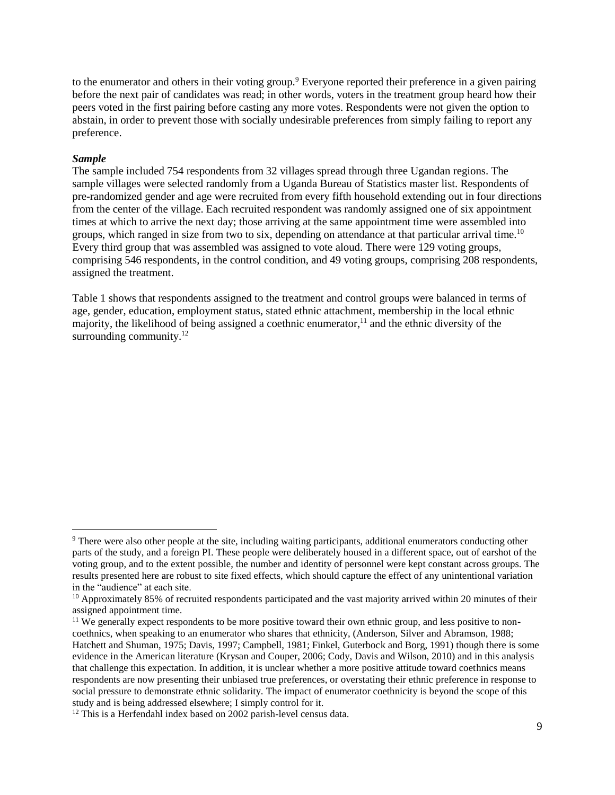to the enumerator and others in their voting group.<sup>9</sup> Everyone reported their preference in a given pairing before the next pair of candidates was read; in other words, voters in the treatment group heard how their peers voted in the first pairing before casting any more votes. Respondents were not given the option to abstain, in order to prevent those with socially undesirable preferences from simply failing to report any preference.

#### *Sample*

l

The sample included 754 respondents from 32 villages spread through three Ugandan regions. The sample villages were selected randomly from a Uganda Bureau of Statistics master list. Respondents of pre-randomized gender and age were recruited from every fifth household extending out in four directions from the center of the village. Each recruited respondent was randomly assigned one of six appointment times at which to arrive the next day; those arriving at the same appointment time were assembled into groups, which ranged in size from two to six, depending on attendance at that particular arrival time.<sup>10</sup> Every third group that was assembled was assigned to vote aloud. There were 129 voting groups, comprising 546 respondents, in the control condition, and 49 voting groups, comprising 208 respondents, assigned the treatment.

Table 1 shows that respondents assigned to the treatment and control groups were balanced in terms of age, gender, education, employment status, stated ethnic attachment, membership in the local ethnic majority, the likelihood of being assigned a coethnic enumerator,<sup>11</sup> and the ethnic diversity of the surrounding community. $12$ 

<sup>9</sup> There were also other people at the site, including waiting participants, additional enumerators conducting other parts of the study, and a foreign PI. These people were deliberately housed in a different space, out of earshot of the voting group, and to the extent possible, the number and identity of personnel were kept constant across groups. The results presented here are robust to site fixed effects, which should capture the effect of any unintentional variation in the "audience" at each site.

 $10$  Approximately 85% of recruited respondents participated and the vast majority arrived within 20 minutes of their assigned appointment time.

<sup>&</sup>lt;sup>11</sup> We generally expect respondents to be more positive toward their own ethnic group, and less positive to noncoethnics, when speaking to an enumerator who shares that ethnicity, (Anderson, Silver and Abramson, 1988; Hatchett and Shuman, 1975; Davis, 1997; Campbell, 1981; Finkel, Guterbock and Borg, 1991) though there is some evidence in the American literature (Krysan and Couper, 2006; Cody, Davis and Wilson, 2010) and in this analysis that challenge this expectation. In addition, it is unclear whether a more positive attitude toward coethnics means respondents are now presenting their unbiased true preferences, or overstating their ethnic preference in response to social pressure to demonstrate ethnic solidarity. The impact of enumerator coethnicity is beyond the scope of this study and is being addressed elsewhere; I simply control for it.

<sup>&</sup>lt;sup>12</sup> This is a Herfendahl index based on 2002 parish-level census data.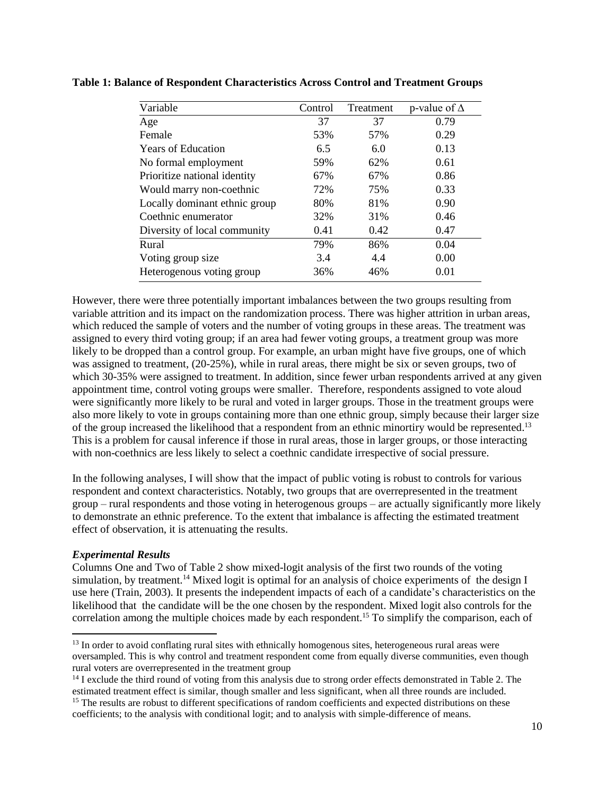| Control | Treatment | p-value of $\Delta$ |
|---------|-----------|---------------------|
| 37      | 37        | 0.79                |
| 53%     | 57%       | 0.29                |
| 6.5     | 6.0       | 0.13                |
| 59%     | 62%       | 0.61                |
| 67%     | 67%       | 0.86                |
| 72%     | 75%       | 0.33                |
| 80%     | 81%       | 0.90                |
| 32%     | 31%       | 0.46                |
| 0.41    | 0.42      | 0.47                |
| 79%     | 86%       | 0.04                |
| 3.4     | 4.4       | 0.00                |
| 36%     | 46%       | 0.01                |
|         |           |                     |

**Table 1: Balance of Respondent Characteristics Across Control and Treatment Groups**

However, there were three potentially important imbalances between the two groups resulting from variable attrition and its impact on the randomization process. There was higher attrition in urban areas, which reduced the sample of voters and the number of voting groups in these areas. The treatment was assigned to every third voting group; if an area had fewer voting groups, a treatment group was more likely to be dropped than a control group. For example, an urban might have five groups, one of which was assigned to treatment, (20-25%), while in rural areas, there might be six or seven groups, two of which 30-35% were assigned to treatment. In addition, since fewer urban respondents arrived at any given appointment time, control voting groups were smaller. Therefore, respondents assigned to vote aloud were significantly more likely to be rural and voted in larger groups. Those in the treatment groups were also more likely to vote in groups containing more than one ethnic group, simply because their larger size of the group increased the likelihood that a respondent from an ethnic minortiry would be represented.<sup>13</sup> This is a problem for causal inference if those in rural areas, those in larger groups, or those interacting with non-coethnics are less likely to select a coethnic candidate irrespective of social pressure.

In the following analyses, I will show that the impact of public voting is robust to controls for various respondent and context characteristics. Notably, two groups that are overrepresented in the treatment group – rural respondents and those voting in heterogenous groups – are actually significantly more likely to demonstrate an ethnic preference. To the extent that imbalance is affecting the estimated treatment effect of observation, it is attenuating the results.

### *Experimental Results*

 $\overline{\phantom{a}}$ 

Columns One and Two of Table 2 show mixed-logit analysis of the first two rounds of the voting simulation, by treatment.<sup>14</sup> Mixed logit is optimal for an analysis of choice experiments of the design I use here (Train, 2003). It presents the independent impacts of each of a candidate's characteristics on the likelihood that the candidate will be the one chosen by the respondent. Mixed logit also controls for the correlation among the multiple choices made by each respondent.<sup>15</sup> To simplify the comparison, each of

<sup>&</sup>lt;sup>13</sup> In order to avoid conflating rural sites with ethnically homogenous sites, heterogeneous rural areas were oversampled. This is why control and treatment respondent come from equally diverse communities, even though rural voters are overrepresented in the treatment group

<sup>&</sup>lt;sup>14</sup> I exclude the third round of voting from this analysis due to strong order effects demonstrated in Table 2. The estimated treatment effect is similar, though smaller and less significant, when all three rounds are included.

<sup>&</sup>lt;sup>15</sup> The results are robust to different specifications of random coefficients and expected distributions on these coefficients; to the analysis with conditional logit; and to analysis with simple-difference of means.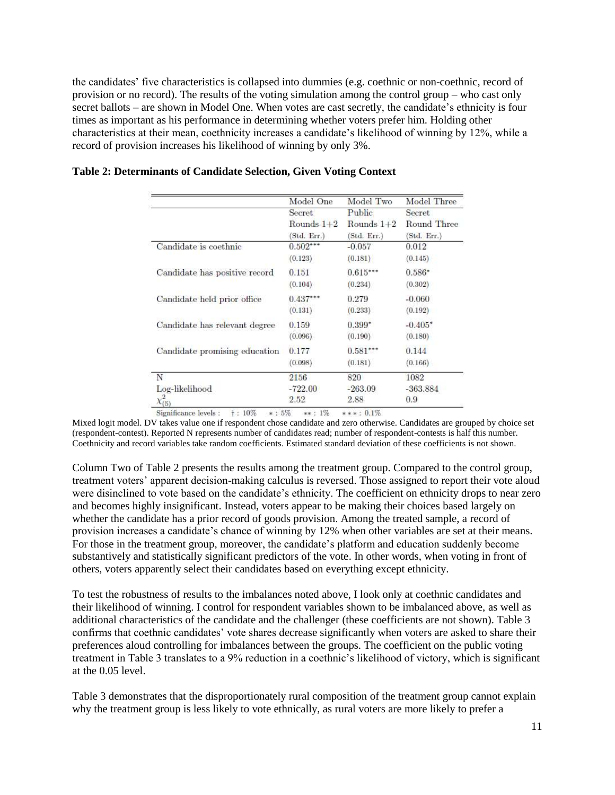the candidates' five characteristics is collapsed into dummies (e.g. coethnic or non-coethnic, record of provision or no record). The results of the voting simulation among the control group – who cast only secret ballots – are shown in Model One. When votes are cast secretly, the candidate's ethnicity is four times as important as his performance in determining whether voters prefer him. Holding other characteristics at their mean, coethnicity increases a candidate's likelihood of winning by 12%, while a record of provision increases his likelihood of winning by only 3%.

|                               | Model One    | Model Two    | Model Three |
|-------------------------------|--------------|--------------|-------------|
|                               | Secret       | Public       | Secret      |
|                               | Rounds $1+2$ | Rounds $1+2$ | Round Three |
|                               | (Std. Err.)  | (Std. Err.)  | (Std. Err.) |
| Candidate is coethnic         | $0.502***$   | $-0.057$     | 0.012       |
|                               | (0.123)      | (0.181)      | (0.145)     |
| Candidate has positive record | 0.151        | $0.615***$   | $0.586*$    |
|                               | (0.104)      | (0.234)      | (0.302)     |
| Candidate held prior office   | $0.437***$   | 0.279        | $-0.060$    |
|                               | (0.131)      | (0.233)      | (0.192)     |
| Candidate has relevant degree | 0.159        | $0.399*$     | $-0.405*$   |
|                               | (0.096)      | (0.190)      | (0.180)     |
| Candidate promising education | 0.177        | $0.581***$   | 0.144       |
|                               | (0.098)      | (0.181)      | (0.166)     |
| N                             | 2156         | 820          | 1082        |
| Log-likelihood                | $-722.00$    | $-263.09$    | $-363.884$  |
| $\chi^2_{(5)}$                | 2.52         | 2.88         | 0.9         |

**Table 2: Determinants of Candidate Selection, Given Voting Context**

Mixed logit model. DV takes value one if respondent chose candidate and zero otherwise. Candidates are grouped by choice set (respondent-contest). Reported N represents number of candidates read; number of respondent-contests is half this number. Coethnicity and record variables take random coefficients. Estimated standard deviation of these coefficients is not shown.

Column Two of Table 2 presents the results among the treatment group. Compared to the control group, treatment voters' apparent decision-making calculus is reversed. Those assigned to report their vote aloud were disinclined to vote based on the candidate's ethnicity. The coefficient on ethnicity drops to near zero and becomes highly insignificant. Instead, voters appear to be making their choices based largely on whether the candidate has a prior record of goods provision. Among the treated sample, a record of provision increases a candidate's chance of winning by 12% when other variables are set at their means. For those in the treatment group, moreover, the candidate's platform and education suddenly become substantively and statistically significant predictors of the vote. In other words, when voting in front of others, voters apparently select their candidates based on everything except ethnicity.

To test the robustness of results to the imbalances noted above, I look only at coethnic candidates and their likelihood of winning. I control for respondent variables shown to be imbalanced above, as well as additional characteristics of the candidate and the challenger (these coefficients are not shown). Table 3 confirms that coethnic candidates' vote shares decrease significantly when voters are asked to share their preferences aloud controlling for imbalances between the groups. The coefficient on the public voting treatment in Table 3 translates to a 9% reduction in a coethnic's likelihood of victory, which is significant at the 0.05 level.

Table 3 demonstrates that the disproportionately rural composition of the treatment group cannot explain why the treatment group is less likely to vote ethnically, as rural voters are more likely to prefer a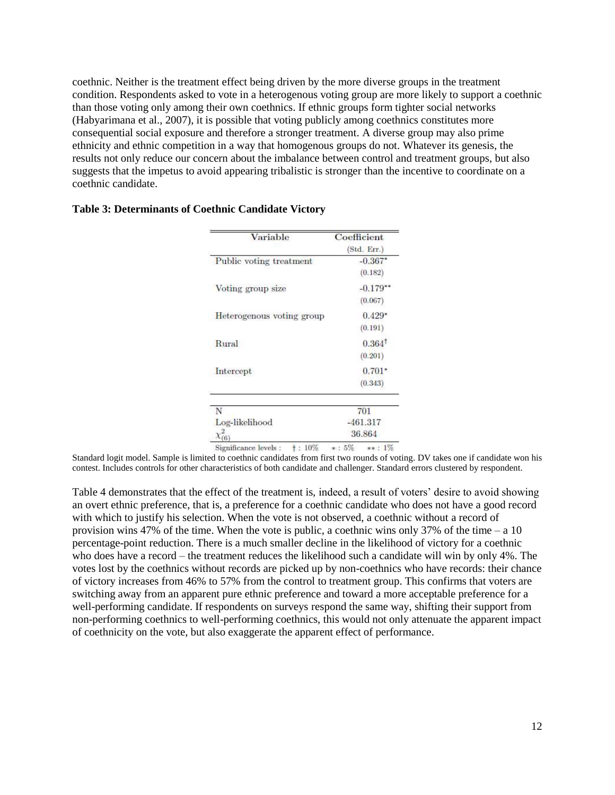coethnic. Neither is the treatment effect being driven by the more diverse groups in the treatment condition. Respondents asked to vote in a heterogenous voting group are more likely to support a coethnic than those voting only among their own coethnics. If ethnic groups form tighter social networks (Habyarimana et al., 2007), it is possible that voting publicly among coethnics constitutes more consequential social exposure and therefore a stronger treatment. A diverse group may also prime ethnicity and ethnic competition in a way that homogenous groups do not. Whatever its genesis, the results not only reduce our concern about the imbalance between control and treatment groups, but also suggests that the impetus to avoid appearing tribalistic is stronger than the incentive to coordinate on a coethnic candidate.

| Variable                                 | Coefficient         |  |
|------------------------------------------|---------------------|--|
|                                          | (Std. Err.)         |  |
| Public voting treatment                  | $-0.367*$           |  |
|                                          | (0.182)             |  |
| Voting group size                        | $-0.179**$          |  |
|                                          | (0.067)             |  |
| Heterogenous voting group                | $0.429*$            |  |
|                                          | (0.191)             |  |
| Rural                                    | $0.364^{\dagger}$   |  |
|                                          | (0.201)             |  |
| Intercept                                | $0.701*$            |  |
|                                          | (0.343)             |  |
| N                                        | 701                 |  |
| Log-likelihood                           | $-461.317$          |  |
| 6)                                       | 36.864              |  |
| $\dagger$ : 10%<br>Significance levels : | $***:1\%$<br>$*:5%$ |  |

### **Table 3: Determinants of Coethnic Candidate Victory**

Standard logit model. Sample is limited to coethnic candidates from first two rounds of voting. DV takes one if candidate won his

contest. Includes controls for other characteristics of both candidate and challenger. Standard errors clustered by respondent.

Table 4 demonstrates that the effect of the treatment is, indeed, a result of voters' desire to avoid showing an overt ethnic preference, that is, a preference for a coethnic candidate who does not have a good record with which to justify his selection. When the vote is not observed, a coethnic without a record of provision wins 47% of the time. When the vote is public, a coethnic wins only 37% of the time – a 10 percentage-point reduction. There is a much smaller decline in the likelihood of victory for a coethnic who does have a record – the treatment reduces the likelihood such a candidate will win by only 4%. The votes lost by the coethnics without records are picked up by non-coethnics who have records: their chance of victory increases from 46% to 57% from the control to treatment group. This confirms that voters are switching away from an apparent pure ethnic preference and toward a more acceptable preference for a well-performing candidate. If respondents on surveys respond the same way, shifting their support from non-performing coethnics to well-performing coethnics, this would not only attenuate the apparent impact of coethnicity on the vote, but also exaggerate the apparent effect of performance.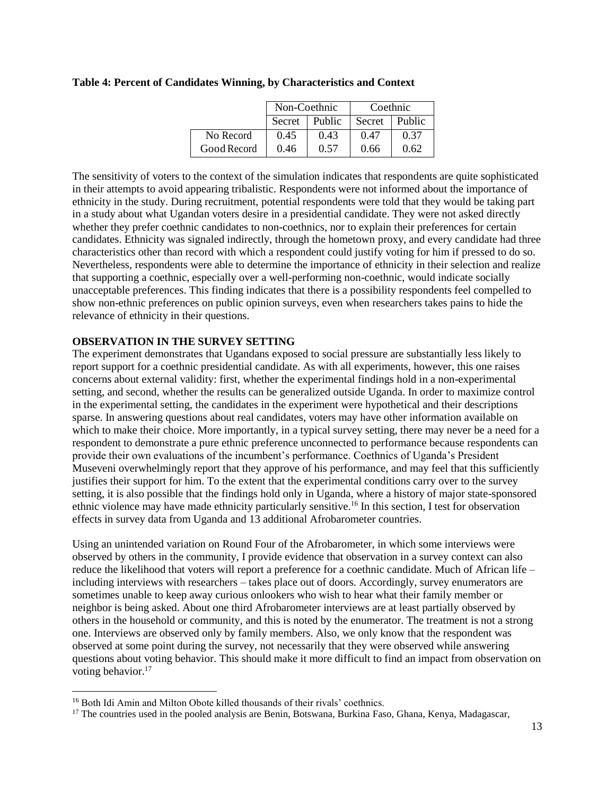|             | Non-Coethnic     |      | Coethnic |        |
|-------------|------------------|------|----------|--------|
|             | Public<br>Secret |      | Secret   | Public |
| No Record   | 0.45             | 0.43 | 0.47     | 0.37   |
| Good Record | 0.46             | 0.57 | 0.66     | 0.62   |

### **Table 4: Percent of Candidates Winning, by Characteristics and Context**

The sensitivity of voters to the context of the simulation indicates that respondents are quite sophisticated in their attempts to avoid appearing tribalistic. Respondents were not informed about the importance of ethnicity in the study. During recruitment, potential respondents were told that they would be taking part in a study about what Ugandan voters desire in a presidential candidate. They were not asked directly whether they prefer coethnic candidates to non-coethnics, nor to explain their preferences for certain candidates. Ethnicity was signaled indirectly, through the hometown proxy, and every candidate had three characteristics other than record with which a respondent could justify voting for him if pressed to do so. Nevertheless, respondents were able to determine the importance of ethnicity in their selection and realize that supporting a coethnic, especially over a well-performing non-coethnic, would indicate socially unacceptable preferences. This finding indicates that there is a possibility respondents feel compelled to show non-ethnic preferences on public opinion surveys, even when researchers takes pains to hide the relevance of ethnicity in their questions.

### **OBSERVATION IN THE SURVEY SETTING**

The experiment demonstrates that Ugandans exposed to social pressure are substantially less likely to report support for a coethnic presidential candidate. As with all experiments, however, this one raises concerns about external validity: first, whether the experimental findings hold in a non-experimental setting, and second, whether the results can be generalized outside Uganda. In order to maximize control in the experimental setting, the candidates in the experiment were hypothetical and their descriptions sparse. In answering questions about real candidates, voters may have other information available on which to make their choice. More importantly, in a typical survey setting, there may never be a need for a respondent to demonstrate a pure ethnic preference unconnected to performance because respondents can provide their own evaluations of the incumbent's performance. Coethnics of Uganda's President Museveni overwhelmingly report that they approve of his performance, and may feel that this sufficiently justifies their support for him. To the extent that the experimental conditions carry over to the survey setting, it is also possible that the findings hold only in Uganda, where a history of major state-sponsored ethnic violence may have made ethnicity particularly sensitive.<sup>16</sup> In this section, I test for observation effects in survey data from Uganda and 13 additional Afrobarometer countries.

Using an unintended variation on Round Four of the Afrobarometer, in which some interviews were observed by others in the community, I provide evidence that observation in a survey context can also reduce the likelihood that voters will report a preference for a coethnic candidate. Much of African life – including interviews with researchers – takes place out of doors. Accordingly, survey enumerators are sometimes unable to keep away curious onlookers who wish to hear what their family member or neighbor is being asked. About one third Afrobarometer interviews are at least partially observed by others in the household or community, and this is noted by the enumerator. The treatment is not a strong one. Interviews are observed only by family members. Also, we only know that the respondent was observed at some point during the survey, not necessarily that they were observed while answering questions about voting behavior. This should make it more difficult to find an impact from observation on voting behavior.<sup>17</sup>

 $\overline{\phantom{a}}$ 

<sup>&</sup>lt;sup>16</sup> Both Idi Amin and Milton Obote killed thousands of their rivals' coethnics.

<sup>&</sup>lt;sup>17</sup> The countries used in the pooled analysis are Benin, Botswana, Burkina Faso, Ghana, Kenya, Madagascar,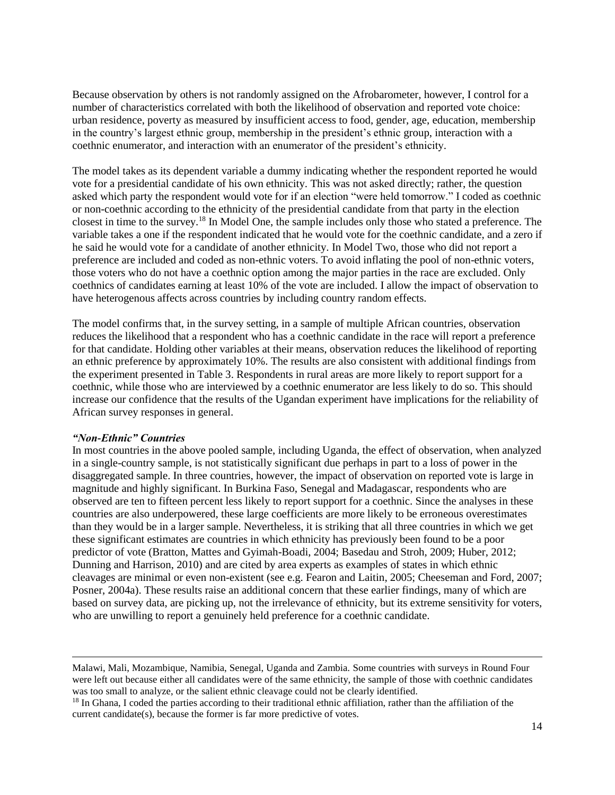Because observation by others is not randomly assigned on the Afrobarometer, however, I control for a number of characteristics correlated with both the likelihood of observation and reported vote choice: urban residence, poverty as measured by insufficient access to food, gender, age, education, membership in the country's largest ethnic group, membership in the president's ethnic group, interaction with a coethnic enumerator, and interaction with an enumerator of the president's ethnicity.

The model takes as its dependent variable a dummy indicating whether the respondent reported he would vote for a presidential candidate of his own ethnicity. This was not asked directly; rather, the question asked which party the respondent would vote for if an election "were held tomorrow." I coded as coethnic or non-coethnic according to the ethnicity of the presidential candidate from that party in the election closest in time to the survey.<sup>18</sup> In Model One, the sample includes only those who stated a preference. The variable takes a one if the respondent indicated that he would vote for the coethnic candidate, and a zero if he said he would vote for a candidate of another ethnicity. In Model Two, those who did not report a preference are included and coded as non-ethnic voters. To avoid inflating the pool of non-ethnic voters, those voters who do not have a coethnic option among the major parties in the race are excluded. Only coethnics of candidates earning at least 10% of the vote are included. I allow the impact of observation to have heterogenous affects across countries by including country random effects.

The model confirms that, in the survey setting, in a sample of multiple African countries, observation reduces the likelihood that a respondent who has a coethnic candidate in the race will report a preference for that candidate. Holding other variables at their means, observation reduces the likelihood of reporting an ethnic preference by approximately 10%. The results are also consistent with additional findings from the experiment presented in Table 3. Respondents in rural areas are more likely to report support for a coethnic, while those who are interviewed by a coethnic enumerator are less likely to do so. This should increase our confidence that the results of the Ugandan experiment have implications for the reliability of African survey responses in general.

#### *"Non-Ethnic" Countries*

 $\overline{\phantom{a}}$ 

In most countries in the above pooled sample, including Uganda, the effect of observation, when analyzed in a single-country sample, is not statistically significant due perhaps in part to a loss of power in the disaggregated sample. In three countries, however, the impact of observation on reported vote is large in magnitude and highly significant. In Burkina Faso, Senegal and Madagascar, respondents who are observed are ten to fifteen percent less likely to report support for a coethnic. Since the analyses in these countries are also underpowered, these large coefficients are more likely to be erroneous overestimates than they would be in a larger sample. Nevertheless, it is striking that all three countries in which we get these significant estimates are countries in which ethnicity has previously been found to be a poor predictor of vote (Bratton, Mattes and Gyimah-Boadi, 2004; Basedau and Stroh, 2009; Huber, 2012; Dunning and Harrison, 2010) and are cited by area experts as examples of states in which ethnic cleavages are minimal or even non-existent (see e.g. Fearon and Laitin, 2005; Cheeseman and Ford, 2007; Posner, 2004a). These results raise an additional concern that these earlier findings, many of which are based on survey data, are picking up, not the irrelevance of ethnicity, but its extreme sensitivity for voters, who are unwilling to report a genuinely held preference for a coethnic candidate.

Malawi, Mali, Mozambique, Namibia, Senegal, Uganda and Zambia. Some countries with surveys in Round Four were left out because either all candidates were of the same ethnicity, the sample of those with coethnic candidates was too small to analyze, or the salient ethnic cleavage could not be clearly identified.

<sup>&</sup>lt;sup>18</sup> In Ghana, I coded the parties according to their traditional ethnic affiliation, rather than the affiliation of the current candidate(s), because the former is far more predictive of votes.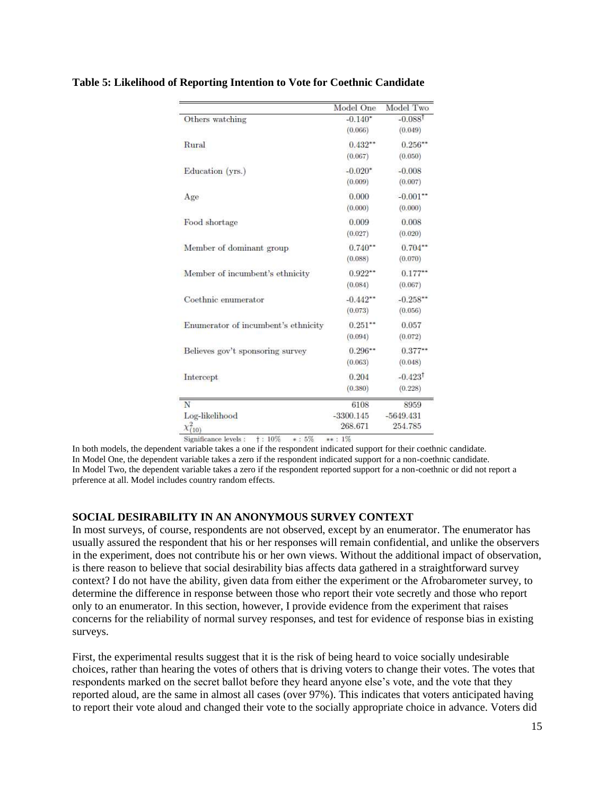|                                     | Model One   | Model Two          |
|-------------------------------------|-------------|--------------------|
| Others watching                     | $-0.140*$   | $-0.088^{\dagger}$ |
|                                     | (0.066)     | (0.049)            |
| Rural                               | $0.432**$   | $0.256**$          |
|                                     | (0.067)     | (0.050)            |
| Education (yrs.)                    | $-0.020*$   | $-0.008$           |
|                                     | (0.009)     | (0.007)            |
| Age                                 | 0.000       | $-0.001$ **        |
|                                     | (0.000)     | (0.000)            |
| Food shortage                       | 0.009       | 0.008              |
|                                     | (0.027)     | (0.020)            |
| Member of dominant group            | $0.740**$   | $0.704**$          |
|                                     | (0.088)     | (0.070)            |
| Member of incumbent's ethnicity     | $0.922**$   | $0.177***$         |
|                                     | (0.084)     | (0.067)            |
| Coethnic enumerator                 | $-0.442**$  | $-0.258**$         |
|                                     | (0.073)     | (0.056)            |
| Enumerator of incumbent's ethnicity | $0.251**$   | 0.057              |
|                                     | (0.094)     | (0.072)            |
| Believes gov't sponsoring survey    | $0.296**$   | $0.377**$          |
|                                     | (0.063)     | (0.048)            |
| Intercept                           | 0.204       | $-0.423^{\dagger}$ |
|                                     | (0.380)     | (0.228)            |
| N                                   | 6108        | 8959               |
| Log-likelihood                      | $-3300.145$ | $-5649.431$        |
| $\chi^{2}_{(10)}$                   | 268.671     | 254.785            |

### **Table 5: Likelihood of Reporting Intention to Vote for Coethnic Candidate**

Significance levels :  $\uparrow$  : 10% \* : 5% \*\* : 1%

In both models, the dependent variable takes a one if the respondent indicated support for their coethnic candidate. In Model One, the dependent variable takes a zero if the respondent indicated support for a non-coethnic candidate. In Model Two, the dependent variable takes a zero if the respondent reported support for a non-coethnic or did not report a prference at all. Model includes country random effects.

### **SOCIAL DESIRABILITY IN AN ANONYMOUS SURVEY CONTEXT**

In most surveys, of course, respondents are not observed, except by an enumerator. The enumerator has usually assured the respondent that his or her responses will remain confidential, and unlike the observers in the experiment, does not contribute his or her own views. Without the additional impact of observation, is there reason to believe that social desirability bias affects data gathered in a straightforward survey context? I do not have the ability, given data from either the experiment or the Afrobarometer survey, to determine the difference in response between those who report their vote secretly and those who report only to an enumerator. In this section, however, I provide evidence from the experiment that raises concerns for the reliability of normal survey responses, and test for evidence of response bias in existing surveys.

First, the experimental results suggest that it is the risk of being heard to voice socially undesirable choices, rather than hearing the votes of others that is driving voters to change their votes. The votes that respondents marked on the secret ballot before they heard anyone else's vote, and the vote that they reported aloud, are the same in almost all cases (over 97%). This indicates that voters anticipated having to report their vote aloud and changed their vote to the socially appropriate choice in advance. Voters did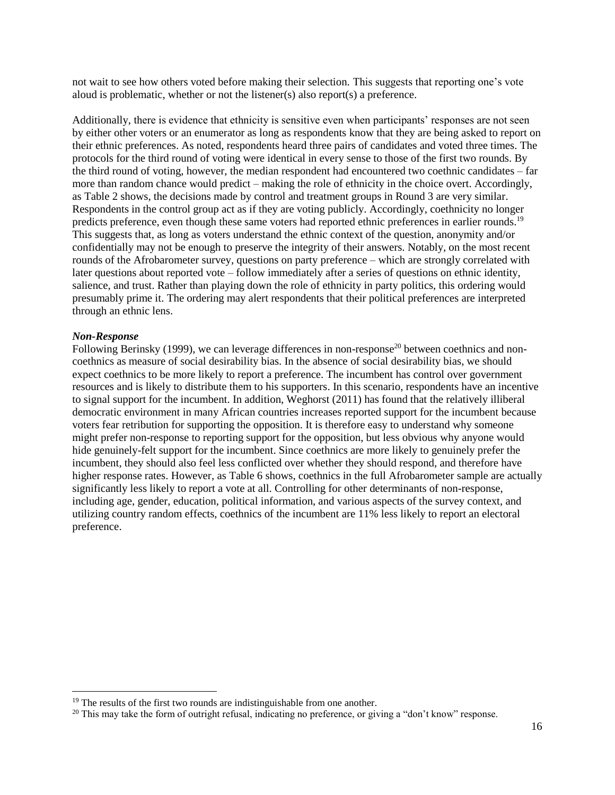not wait to see how others voted before making their selection. This suggests that reporting one's vote aloud is problematic, whether or not the listener(s) also report(s) a preference.

Additionally, there is evidence that ethnicity is sensitive even when participants' responses are not seen by either other voters or an enumerator as long as respondents know that they are being asked to report on their ethnic preferences. As noted, respondents heard three pairs of candidates and voted three times. The protocols for the third round of voting were identical in every sense to those of the first two rounds. By the third round of voting, however, the median respondent had encountered two coethnic candidates – far more than random chance would predict – making the role of ethnicity in the choice overt. Accordingly, as Table 2 shows, the decisions made by control and treatment groups in Round 3 are very similar. Respondents in the control group act as if they are voting publicly. Accordingly, coethnicity no longer predicts preference, even though these same voters had reported ethnic preferences in earlier rounds.<sup>19</sup> This suggests that, as long as voters understand the ethnic context of the question, anonymity and/or confidentially may not be enough to preserve the integrity of their answers. Notably, on the most recent rounds of the Afrobarometer survey, questions on party preference – which are strongly correlated with later questions about reported vote – follow immediately after a series of questions on ethnic identity, salience, and trust. Rather than playing down the role of ethnicity in party politics, this ordering would presumably prime it. The ordering may alert respondents that their political preferences are interpreted through an ethnic lens.

#### *Non-Response*

 $\overline{\phantom{a}}$ 

Following Berinsky (1999), we can leverage differences in non-response<sup>20</sup> between coethnics and noncoethnics as measure of social desirability bias. In the absence of social desirability bias, we should expect coethnics to be more likely to report a preference. The incumbent has control over government resources and is likely to distribute them to his supporters. In this scenario, respondents have an incentive to signal support for the incumbent. In addition, Weghorst (2011) has found that the relatively illiberal democratic environment in many African countries increases reported support for the incumbent because voters fear retribution for supporting the opposition. It is therefore easy to understand why someone might prefer non-response to reporting support for the opposition, but less obvious why anyone would hide genuinely-felt support for the incumbent. Since coethnics are more likely to genuinely prefer the incumbent, they should also feel less conflicted over whether they should respond, and therefore have higher response rates. However, as Table 6 shows, coethnics in the full Afrobarometer sample are actually significantly less likely to report a vote at all. Controlling for other determinants of non-response, including age, gender, education, political information, and various aspects of the survey context, and utilizing country random effects, coethnics of the incumbent are 11% less likely to report an electoral preference.

 $19$  The results of the first two rounds are indistinguishable from one another.

<sup>&</sup>lt;sup>20</sup> This may take the form of outright refusal, indicating no preference, or giving a "don't know" response.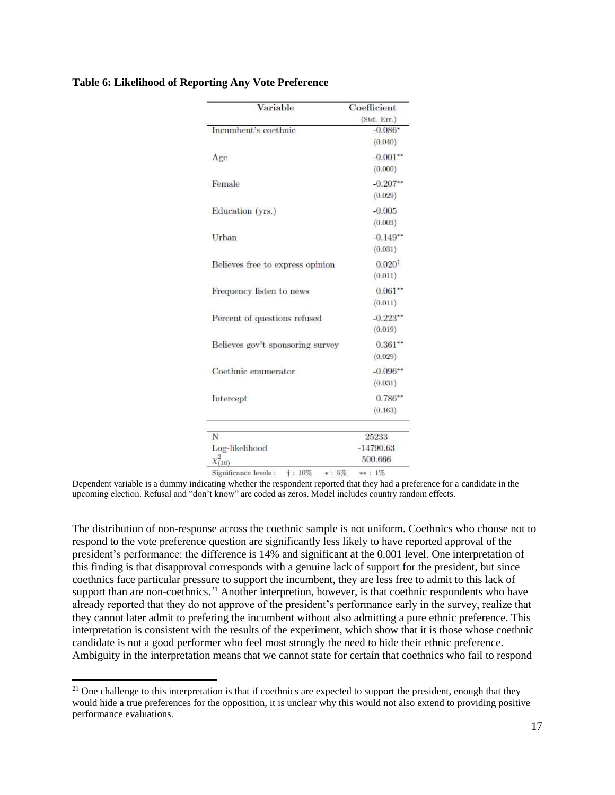| Variable                                            | Coefficient        |
|-----------------------------------------------------|--------------------|
|                                                     | (Std. Err.)        |
| Incumbent's coethnic                                | $-0.086*$          |
|                                                     | (0.040)            |
| Age                                                 | $-0.001**$         |
|                                                     | (0.000)            |
| Female                                              | $-0.207**$         |
|                                                     | (0.029)            |
| Education (yrs.)                                    | $-0.005$           |
|                                                     | (0.003)            |
| Urban                                               | $-0.149$           |
|                                                     | (0.031)            |
| Believes free to express opinion                    | 0.020 <sup>†</sup> |
|                                                     | (0.011)            |
| Frequency listen to news                            | $0.061**$          |
|                                                     | (0.011)            |
| Percent of questions refused                        | $-0.223**$         |
|                                                     | (0.019)            |
| Believes gov't sponsoring survey                    | $0.361**$          |
|                                                     | (0.029)            |
| Coethnic enumerator                                 | $-0.096**$         |
|                                                     | (0.031)            |
| Intercept                                           | $0.786**$          |
|                                                     | (0.163)            |
| N                                                   | 25233              |
| Log-likelihood                                      | $-14790.63$        |
| $\chi^{2}_{(10)}$                                   | 500.666            |
| $\dagger:10\%$<br>$*: 5\%$<br>Significance levels : | $**: 1\%$          |

### **Table 6: Likelihood of Reporting Any Vote Preference**

Dependent variable is a dummy indicating whether the respondent reported that they had a preference for a candidate in the upcoming election. Refusal and "don't know" are coded as zeros. Model includes country random effects.

The distribution of non-response across the coethnic sample is not uniform. Coethnics who choose not to respond to the vote preference question are significantly less likely to have reported approval of the president's performance: the difference is 14% and significant at the 0.001 level. One interpretation of this finding is that disapproval corresponds with a genuine lack of support for the president, but since coethnics face particular pressure to support the incumbent, they are less free to admit to this lack of support than are non-coethnics.<sup>21</sup> Another interpretion, however, is that coethnic respondents who have already reported that they do not approve of the president's performance early in the survey, realize that they cannot later admit to prefering the incumbent without also admitting a pure ethnic preference. This interpretation is consistent with the results of the experiment, which show that it is those whose coethnic candidate is not a good performer who feel most strongly the need to hide their ethnic preference. Ambiguity in the interpretation means that we cannot state for certain that coethnics who fail to respond

 $\overline{a}$ 

<sup>&</sup>lt;sup>21</sup> One challenge to this interpretation is that if coethnics are expected to support the president, enough that they would hide a true preferences for the opposition, it is unclear why this would not also extend to providing positive performance evaluations.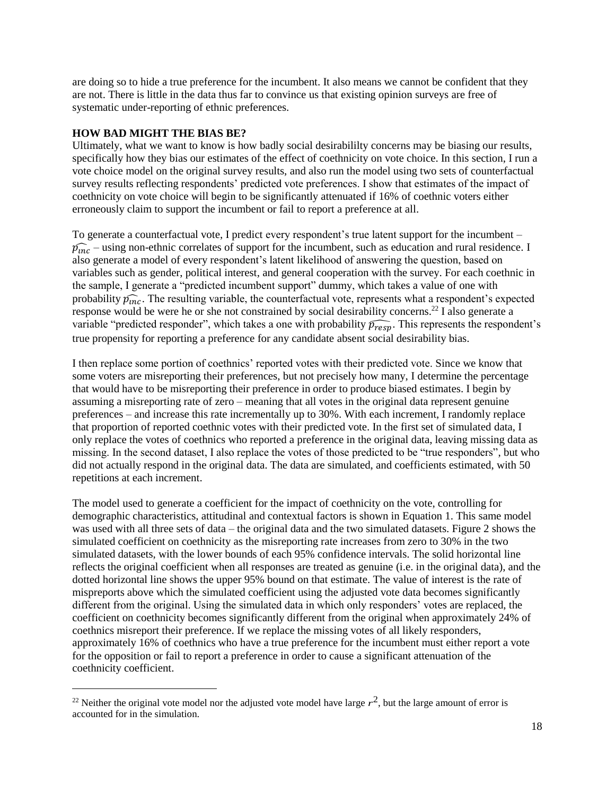are doing so to hide a true preference for the incumbent. It also means we cannot be confident that they are not. There is little in the data thus far to convince us that existing opinion surveys are free of systematic under-reporting of ethnic preferences.

### **HOW BAD MIGHT THE BIAS BE?**

 $\overline{\phantom{a}}$ 

Ultimately, what we want to know is how badly social desirabililty concerns may be biasing our results, specifically how they bias our estimates of the effect of coethnicity on vote choice. In this section, I run a vote choice model on the original survey results, and also run the model using two sets of counterfactual survey results reflecting respondents' predicted vote preferences. I show that estimates of the impact of coethnicity on vote choice will begin to be significantly attenuated if 16% of coethnic voters either erroneously claim to support the incumbent or fail to report a preference at all.

To generate a counterfactual vote, I predict every respondent's true latent support for the incumbent –  $\widehat{p_{inc}}$  – using non-ethnic correlates of support for the incumbent, such as education and rural residence. I also generate a model of every respondent's latent likelihood of answering the question, based on variables such as gender, political interest, and general cooperation with the survey. For each coethnic in the sample, I generate a "predicted incumbent support" dummy, which takes a value of one with probability  $\widehat{p_{inc}}$ . The resulting variable, the counterfactual vote, represents what a respondent's expected response would be were he or she not constrained by social desirability concerns.<sup>22</sup> I also generate a variable "predicted responder", which takes a one with probability  $\widehat{p_{resp}}$ . This represents the respondent's true propensity for reporting a preference for any candidate absent social desirability bias.

I then replace some portion of coethnics' reported votes with their predicted vote. Since we know that some voters are misreporting their preferences, but not precisely how many, I determine the percentage that would have to be misreporting their preference in order to produce biased estimates. I begin by assuming a misreporting rate of zero – meaning that all votes in the original data represent genuine preferences – and increase this rate incrementally up to 30%. With each increment, I randomly replace that proportion of reported coethnic votes with their predicted vote. In the first set of simulated data, I only replace the votes of coethnics who reported a preference in the original data, leaving missing data as missing. In the second dataset, I also replace the votes of those predicted to be "true responders", but who did not actually respond in the original data. The data are simulated, and coefficients estimated, with 50 repetitions at each increment.

The model used to generate a coefficient for the impact of coethnicity on the vote, controlling for demographic characteristics, attitudinal and contextual factors is shown in Equation 1. This same model was used with all three sets of data – the original data and the two simulated datasets. Figure 2 shows the simulated coefficient on coethnicity as the misreporting rate increases from zero to 30% in the two simulated datasets, with the lower bounds of each 95% confidence intervals. The solid horizontal line reflects the original coefficient when all responses are treated as genuine (i.e. in the original data), and the dotted horizontal line shows the upper 95% bound on that estimate. The value of interest is the rate of mispreports above which the simulated coefficient using the adjusted vote data becomes significantly different from the original. Using the simulated data in which only responders' votes are replaced, the coefficient on coethnicity becomes significantly different from the original when approximately 24% of coethnics misreport their preference. If we replace the missing votes of all likely responders, approximately 16% of coethnics who have a true preference for the incumbent must either report a vote for the opposition or fail to report a preference in order to cause a significant attenuation of the coethnicity coefficient.

<sup>&</sup>lt;sup>22</sup> Neither the original vote model nor the adjusted vote model have large  $r^2$ , but the large amount of error is accounted for in the simulation.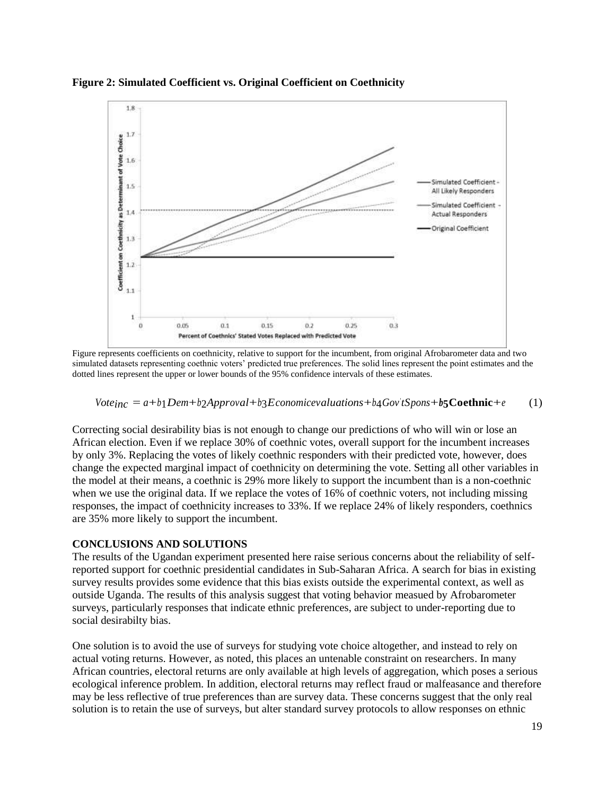

**Figure 2: Simulated Coefficient vs. Original Coefficient on Coethnicity**

Figure represents coefficients on coethnicity, relative to support for the incumbent, from original Afrobarometer data and two simulated datasets representing coethnic voters' predicted true preferences. The solid lines represent the point estimates and the dotted lines represent the upper or lower bounds of the 95% confidence intervals of these estimates.

# *Voteinc* = *<sup>a</sup>*+*b*1*Dem*+*b*2*Approval*+*b*3*Economicevaluations*+*b*4*Gov ' tSpons*+*b***5Coethnic**+*<sup>e</sup>* (1)

Correcting social desirability bias is not enough to change our predictions of who will win or lose an African election. Even if we replace 30% of coethnic votes, overall support for the incumbent increases by only 3%. Replacing the votes of likely coethnic responders with their predicted vote, however, does change the expected marginal impact of coethnicity on determining the vote. Setting all other variables in the model at their means, a coethnic is 29% more likely to support the incumbent than is a non-coethnic when we use the original data. If we replace the votes of 16% of coethnic voters, not including missing responses, the impact of coethnicity increases to 33%. If we replace 24% of likely responders, coethnics are 35% more likely to support the incumbent.

### **CONCLUSIONS AND SOLUTIONS**

The results of the Ugandan experiment presented here raise serious concerns about the reliability of selfreported support for coethnic presidential candidates in Sub-Saharan Africa. A search for bias in existing survey results provides some evidence that this bias exists outside the experimental context, as well as outside Uganda. The results of this analysis suggest that voting behavior measued by Afrobarometer surveys, particularly responses that indicate ethnic preferences, are subject to under-reporting due to social desirabilty bias.

One solution is to avoid the use of surveys for studying vote choice altogether, and instead to rely on actual voting returns. However, as noted, this places an untenable constraint on researchers. In many African countries, electoral returns are only available at high levels of aggregation, which poses a serious ecological inference problem. In addition, electoral returns may reflect fraud or malfeasance and therefore may be less reflective of true preferences than are survey data. These concerns suggest that the only real solution is to retain the use of surveys, but alter standard survey protocols to allow responses on ethnic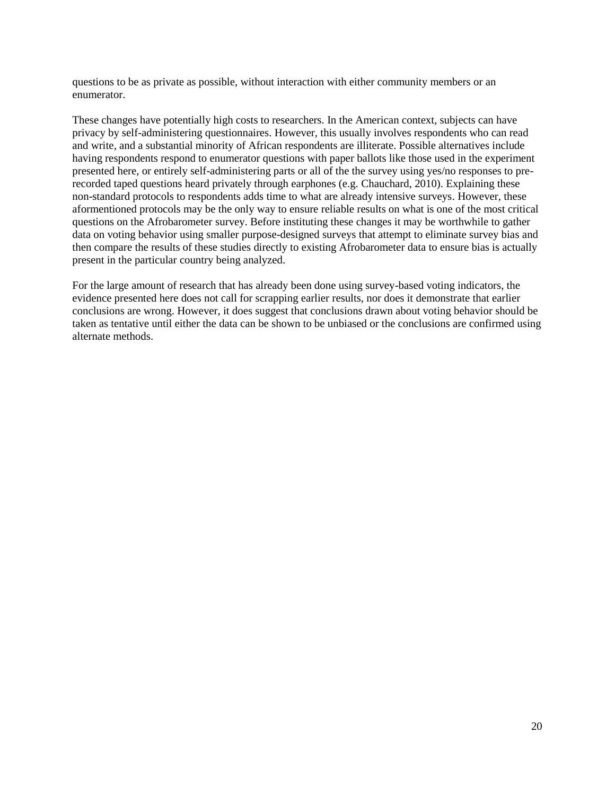questions to be as private as possible, without interaction with either community members or an enumerator.

These changes have potentially high costs to researchers. In the American context, subjects can have privacy by self-administering questionnaires. However, this usually involves respondents who can read and write, and a substantial minority of African respondents are illiterate. Possible alternatives include having respondents respond to enumerator questions with paper ballots like those used in the experiment presented here, or entirely self-administering parts or all of the the survey using yes/no responses to prerecorded taped questions heard privately through earphones (e.g. Chauchard, 2010). Explaining these non-standard protocols to respondents adds time to what are already intensive surveys. However, these aformentioned protocols may be the only way to ensure reliable results on what is one of the most critical questions on the Afrobarometer survey. Before instituting these changes it may be worthwhile to gather data on voting behavior using smaller purpose-designed surveys that attempt to eliminate survey bias and then compare the results of these studies directly to existing Afrobarometer data to ensure bias is actually present in the particular country being analyzed.

For the large amount of research that has already been done using survey-based voting indicators, the evidence presented here does not call for scrapping earlier results, nor does it demonstrate that earlier conclusions are wrong. However, it does suggest that conclusions drawn about voting behavior should be taken as tentative until either the data can be shown to be unbiased or the conclusions are confirmed using alternate methods.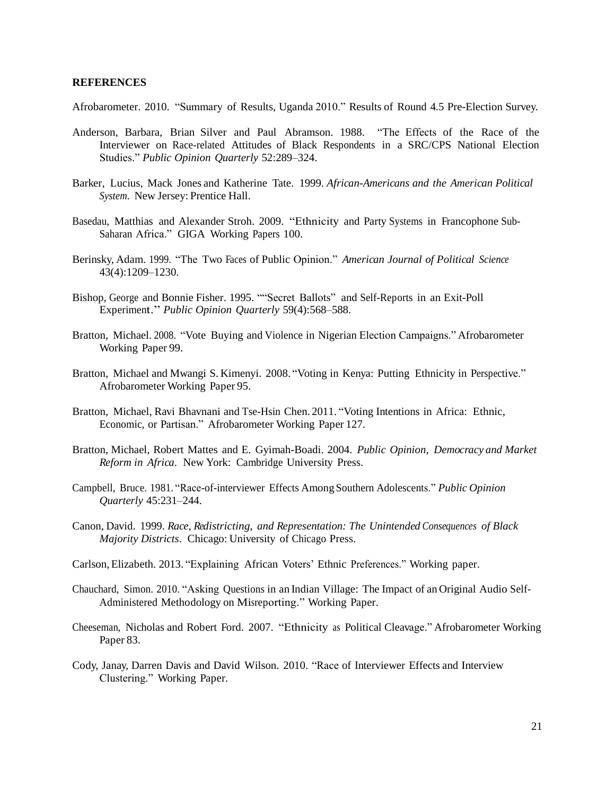#### **REFERENCES**

Afrobarometer. 2010. "Summary of Results, Uganda 2010." Results of Round 4.5 Pre-Election Survey.

- Anderson, Barbara, Brian Silver and Paul Abramson. 1988. "The Effects of the Race of the Interviewer on Race-related Attitudes of Black Respondents in a SRC/CPS National Election Studies." *Public Opinion Quarterly* 52:289–324.
- Barker, Lucius, Mack Jones and Katherine Tate. 1999. *African-Americans and the American Political System*. New Jersey: Prentice Hall.
- Basedau, Matthias and Alexander Stroh. 2009. "Ethnicity and Party Systems in Francophone Sub-Saharan Africa." GIGA Working Papers 100.
- Berinsky, Adam. 1999. "The Two Faces of Public Opinion." *American Journal of Political Science* 43(4):1209–1230.
- Bishop, George and Bonnie Fisher. 1995. ""Secret Ballots" and Self-Reports in an Exit-Poll Experiment." *Public Opinion Quarterly* 59(4):568–588.
- Bratton, Michael. 2008. "Vote Buying and Violence in Nigerian Election Campaigns." Afrobarometer Working Paper 99.
- Bratton, Michael and Mwangi S. Kimenyi. 2008. "Voting in Kenya: Putting Ethnicity in Perspective." Afrobarometer Working Paper 95.
- Bratton, Michael, Ravi Bhavnani and Tse-Hsin Chen. 2011. "Voting Intentions in Africa: Ethnic, Economic, or Partisan." Afrobarometer Working Paper 127.
- Bratton, Michael, Robert Mattes and E. Gyimah-Boadi. 2004. *Public Opinion, Democracy and Market Reform in Africa*. New York: Cambridge University Press.
- Campbell, Bruce. 1981. "Race-of-interviewer Effects Among Southern Adolescents." *Public Opinion Quarterly* 45:231–244.
- Canon, David. 1999. *Race, Redistricting, and Representation: The Unintended Consequences of Black Majority Districts*. Chicago: University of Chicago Press.
- Carlson, Elizabeth. 2013. "Explaining African Voters' Ethnic Preferences." Working paper.
- Chauchard, Simon. 2010. "Asking Questions in an Indian Village: The Impact of an Original Audio Self-Administered Methodology on Misreporting." Working Paper.
- Cheeseman, Nicholas and Robert Ford. 2007. "Ethnicity as Political Cleavage." Afrobarometer Working Paper 83.
- Cody, Janay, Darren Davis and David Wilson. 2010. "Race of Interviewer Effects and Interview Clustering." Working Paper.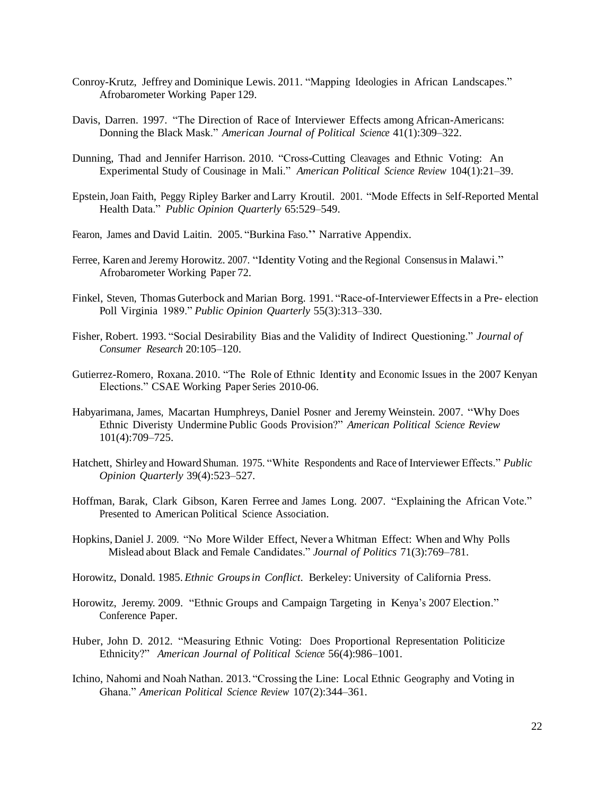- Conroy-Krutz, Jeffrey and Dominique Lewis. 2011. "Mapping Ideologies in African Landscapes." Afrobarometer Working Paper 129.
- Davis, Darren. 1997. "The Direction of Race of Interviewer Effects among African-Americans: Donning the Black Mask." *American Journal of Political Science* 41(1):309–322.
- Dunning, Thad and Jennifer Harrison. 2010. "Cross-Cutting Cleavages and Ethnic Voting: An Experimental Study of Cousinage in Mali." *American Political Science Review* 104(1):21–39.
- Epstein,Joan Faith, Peggy Ripley Barker and Larry Kroutil. 2001. "Mode Effects in Self-Reported Mental Health Data." *Public Opinion Quarterly* 65:529–549.
- Fearon, James and David Laitin. 2005. "Burkina Faso." Narrative Appendix.
- Ferree, Karen and Jeremy Horowitz. 2007. "Identity Voting and the Regional Consensus in Malawi." Afrobarometer Working Paper 72.
- Finkel, Steven, Thomas Guterbock and Marian Borg. 1991. "Race-of-Interviewer Effects in a Pre- election Poll Virginia 1989." *Public Opinion Quarterly* 55(3):313–330.
- Fisher, Robert. 1993. "Social Desirability Bias and the Validity of Indirect Questioning." *Journal of Consumer Research* 20:105–120.
- Gutierrez-Romero, Roxana. 2010. "The Role of Ethnic Identity and Economic Issues in the 2007 Kenyan Elections." CSAE Working Paper Series 2010-06.
- Habyarimana, James, Macartan Humphreys, Daniel Posner and Jeremy Weinstein. 2007. "Why Does Ethnic Diveristy Undermine Public Goods Provision?" *American Political Science Review* 101(4):709–725.
- Hatchett, Shirley and Howard Shuman. 1975. "White Respondents and Race of Interviewer Effects." *Public Opinion Quarterly* 39(4):523–527.
- Hoffman, Barak, Clark Gibson, Karen Ferree and James Long. 2007. "Explaining the African Vote." Presented to American Political Science Association.
- Hopkins, Daniel J. 2009. "No More Wilder Effect, Never a Whitman Effect: When and Why Polls Mislead about Black and Female Candidates." *Journal of Politics* 71(3):769–781.
- Horowitz, Donald. 1985. *Ethnic Groupsin Conflict*. Berkeley: University of California Press.
- Horowitz, Jeremy. 2009. "Ethnic Groups and Campaign Targeting in Kenya's 2007 Election." Conference Paper.
- Huber, John D. 2012. "Measuring Ethnic Voting: Does Proportional Representation Politicize Ethnicity?" *American Journal of Political Science* 56(4):986–1001.
- Ichino, Nahomi and Noah Nathan. 2013. "Crossing the Line: Local Ethnic Geography and Voting in Ghana." *American Political Science Review* 107(2):344–361.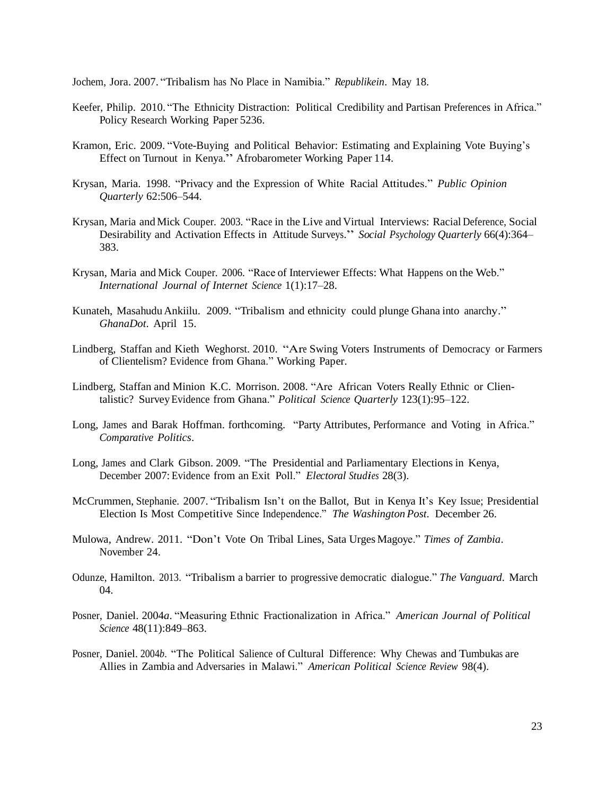Jochem, Jora. 2007. "Tribalism has No Place in Namibia." *Republikein*. May 18.

- Keefer, Philip. 2010. "The Ethnicity Distraction: Political Credibility and Partisan Preferences in Africa." Policy Research Working Paper 5236.
- Kramon, Eric. 2009. "Vote-Buying and Political Behavior: Estimating and Explaining Vote Buying's Effect on Turnout in Kenya." Afrobarometer Working Paper 114.
- Krysan, Maria. 1998. "Privacy and the Expression of White Racial Attitudes." *Public Opinion Quarterly* 62:506–544.
- Krysan, Maria and Mick Couper. 2003. "Race in the Live and Virtual Interviews: Racial Deference, Social Desirability and Activation Effects in Attitude Surveys." *Social Psychology Quarterly* 66(4):364– 383.
- Krysan, Maria and Mick Couper. 2006. "Race of Interviewer Effects: What Happens on the Web." *International Journal of Internet Science* 1(1):17–28.
- Kunateh, Masahudu Ankiilu. 2009. "Tribalism and ethnicity could plunge Ghana into anarchy." *GhanaDot*. April 15.
- Lindberg, Staffan and Kieth Weghorst. 2010. "Are Swing Voters Instruments of Democracy or Farmers of Clientelism? Evidence from Ghana." Working Paper.
- Lindberg, Staffan and Minion K.C. Morrison. 2008. "Are African Voters Really Ethnic or Clientalistic? SurveyEvidence from Ghana." *Political Science Quarterly* 123(1):95–122.
- Long, James and Barak Hoffman. forthcoming. "Party Attributes, Performance and Voting in Africa." *Comparative Politics*.
- Long, James and Clark Gibson. 2009. "The Presidential and Parliamentary Elections in Kenya, December 2007: Evidence from an Exit Poll." *Electoral Studies* 28(3).
- McCrummen, Stephanie. 2007. "Tribalism Isn't on the Ballot, But in Kenya It's Key Issue; Presidential Election Is Most Competitive Since Independence." *The Washington Post*. December 26.
- Mulowa, Andrew. 2011. "Don't Vote On Tribal Lines, Sata Urges Magoye." *Times of Zambia*. November 24.
- Odunze, Hamilton. 2013. "Tribalism a barrier to progressive democratic dialogue." *The Vanguard*. March 04.
- Posner, Daniel. 2004*a*. "Measuring Ethnic Fractionalization in Africa." *American Journal of Political Science* 48(11):849–863.
- Posner, Daniel. 2004*b*. "The Political Salience of Cultural Difference: Why Chewas and Tumbukas are Allies in Zambia and Adversaries in Malawi." *American Political Science Review* 98(4).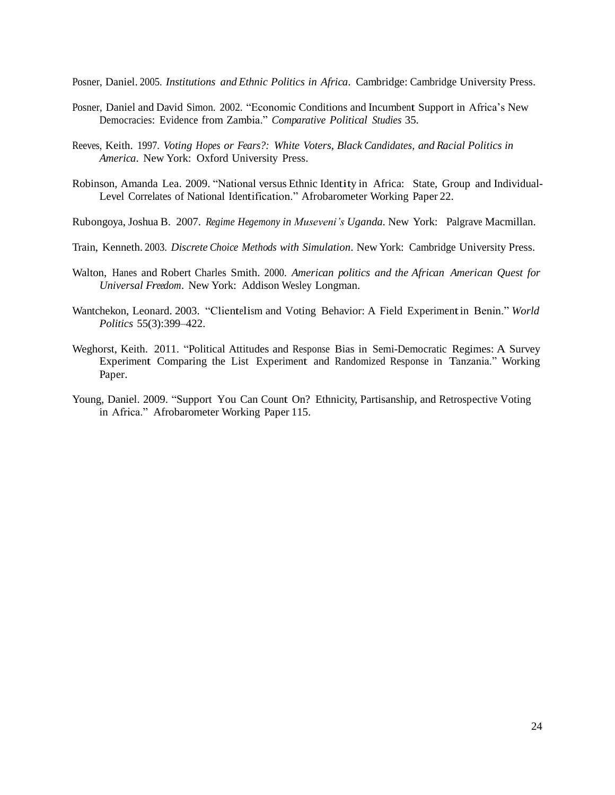Posner, Daniel. 2005. *Institutions and Ethnic Politics in Africa*. Cambridge: Cambridge University Press.

- Posner, Daniel and David Simon. 2002. "Economic Conditions and Incumbent Support in Africa's New Democracies: Evidence from Zambia." *Comparative Political Studies* 35.
- Reeves, Keith. 1997. *Voting Hopes or Fears?: White Voters, Black Candidates, and Racial Politics in America*. New York: Oxford University Press.
- Robinson, Amanda Lea. 2009. "National versus Ethnic Identity in Africa: State, Group and Individual-Level Correlates of National Identification." Afrobarometer Working Paper 22.
- Rubongoya, Joshua B. 2007. *Regime Hegemony in Museveni's Uganda*. New York: Palgrave Macmillan.
- Train, Kenneth. 2003. *Discrete Choice Methods with Simulation*. New York: Cambridge University Press.
- Walton, Hanes and Robert Charles Smith. 2000. *American politics and the African American Quest for Universal Freedom*. New York: Addison Wesley Longman.
- Wantchekon, Leonard. 2003. "Clientelism and Voting Behavior: A Field Experimentin Benin." *World Politics* 55(3):399–422.
- Weghorst, Keith. 2011. "Political Attitudes and Response Bias in Semi-Democratic Regimes: A Survey Experiment Comparing the List Experiment and Randomized Response in Tanzania." Working Paper.
- Young, Daniel. 2009. "Support You Can Count On? Ethnicity, Partisanship, and Retrospective Voting in Africa." Afrobarometer Working Paper 115.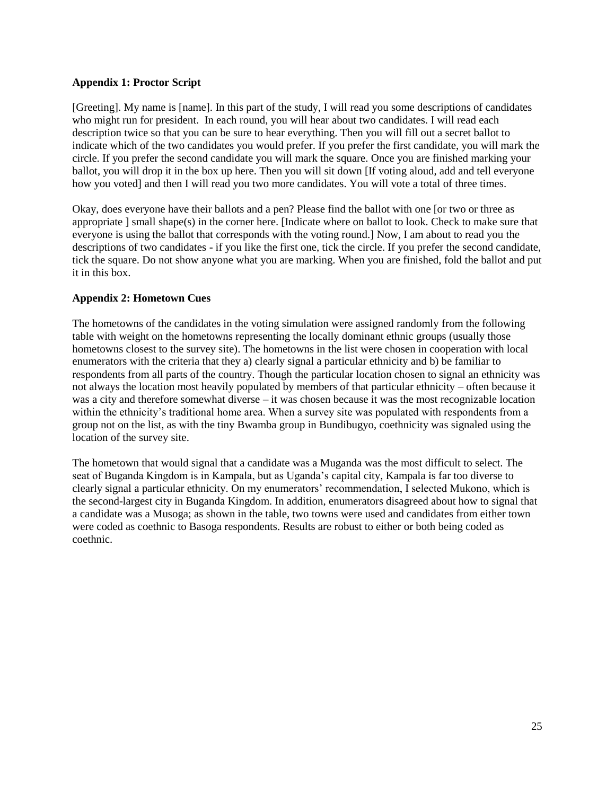### **Appendix 1: Proctor Script**

[Greeting]. My name is [name]. In this part of the study, I will read you some descriptions of candidates who might run for president. In each round, you will hear about two candidates. I will read each description twice so that you can be sure to hear everything. Then you will fill out a secret ballot to indicate which of the two candidates you would prefer. If you prefer the first candidate, you will mark the circle. If you prefer the second candidate you will mark the square. Once you are finished marking your ballot, you will drop it in the box up here. Then you will sit down [If voting aloud, add and tell everyone how you voted] and then I will read you two more candidates. You will vote a total of three times.

Okay, does everyone have their ballots and a pen? Please find the ballot with one [or two or three as appropriate ] small shape(s) in the corner here. [Indicate where on ballot to look. Check to make sure that everyone is using the ballot that corresponds with the voting round.] Now, I am about to read you the descriptions of two candidates - if you like the first one, tick the circle. If you prefer the second candidate, tick the square. Do not show anyone what you are marking. When you are finished, fold the ballot and put it in this box.

### **Appendix 2: Hometown Cues**

The hometowns of the candidates in the voting simulation were assigned randomly from the following table with weight on the hometowns representing the locally dominant ethnic groups (usually those hometowns closest to the survey site). The hometowns in the list were chosen in cooperation with local enumerators with the criteria that they a) clearly signal a particular ethnicity and b) be familiar to respondents from all parts of the country. Though the particular location chosen to signal an ethnicity was not always the location most heavily populated by members of that particular ethnicity – often because it was a city and therefore somewhat diverse – it was chosen because it was the most recognizable location within the ethnicity's traditional home area. When a survey site was populated with respondents from a group not on the list, as with the tiny Bwamba group in Bundibugyo, coethnicity was signaled using the location of the survey site.

The hometown that would signal that a candidate was a Muganda was the most difficult to select. The seat of Buganda Kingdom is in Kampala, but as Uganda's capital city, Kampala is far too diverse to clearly signal a particular ethnicity. On my enumerators' recommendation, I selected Mukono, which is the second-largest city in Buganda Kingdom. In addition, enumerators disagreed about how to signal that a candidate was a Musoga; as shown in the table, two towns were used and candidates from either town were coded as coethnic to Basoga respondents. Results are robust to either or both being coded as coethnic.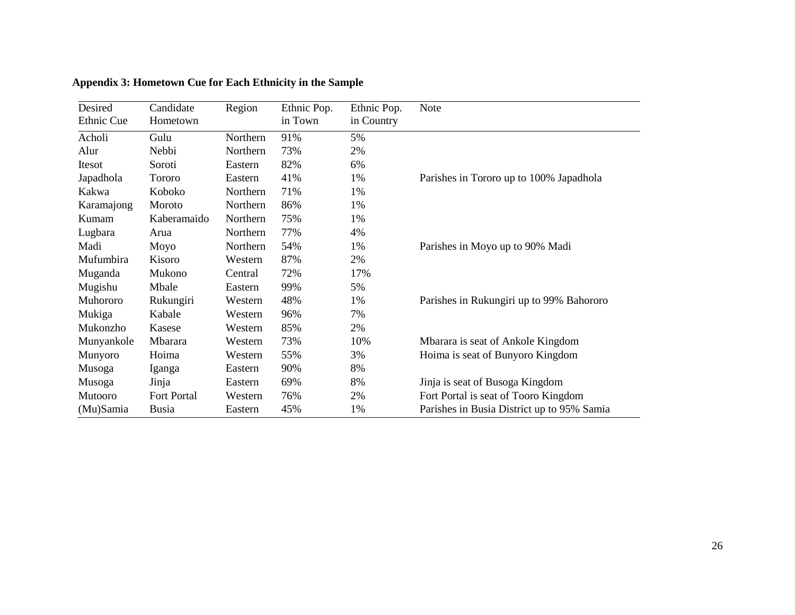| Desired<br>Ethnic Cue | Candidate<br>Hometown | Region   | Ethnic Pop.<br>in Town | Ethnic Pop.<br>in Country | <b>Note</b>                                |
|-----------------------|-----------------------|----------|------------------------|---------------------------|--------------------------------------------|
| Acholi                | Gulu                  | Northern | 91%                    | 5%                        |                                            |
| Alur                  | Nebbi                 | Northern | 73%                    | 2%                        |                                            |
| Itesot                | Soroti                | Eastern  | 82%                    | 6%                        |                                            |
| Japadhola             | Tororo                | Eastern  | 41%                    | 1%                        | Parishes in Tororo up to 100% Japadhola    |
| Kakwa                 | Koboko                | Northern | 71%                    | 1%                        |                                            |
| Karamajong            | Moroto                | Northern | 86%                    | 1%                        |                                            |
| Kumam                 | Kaberamaido           | Northern | 75%                    | 1%                        |                                            |
| Lugbara               | Arua                  | Northern | 77%                    | 4%                        |                                            |
| Madi                  | Moyo                  | Northern | 54%                    | 1%                        | Parishes in Moyo up to 90% Madi            |
| Mufumbira             | Kisoro                | Western  | 87%                    | 2%                        |                                            |
| Muganda               | Mukono                | Central  | 72%                    | 17%                       |                                            |
| Mugishu               | Mbale                 | Eastern  | 99%                    | 5%                        |                                            |
| Muhororo              | Rukungiri             | Western  | 48%                    | 1%                        | Parishes in Rukungiri up to 99% Bahororo   |
| Mukiga                | Kabale                | Western  | 96%                    | 7%                        |                                            |
| Mukonzho              | Kasese                | Western  | 85%                    | 2%                        |                                            |
| Munyankole            | Mbarara               | Western  | 73%                    | 10%                       | Mbarara is seat of Ankole Kingdom          |
| Munyoro               | Hoima                 | Western  | 55%                    | 3%                        | Hoima is seat of Bunyoro Kingdom           |
| Musoga                | Iganga                | Eastern  | 90%                    | 8%                        |                                            |
| Musoga                | Jinja                 | Eastern  | 69%                    | 8%                        | Jinja is seat of Busoga Kingdom            |
| Mutooro               | Fort Portal           | Western  | 76%                    | 2%                        | Fort Portal is seat of Tooro Kingdom       |
| (Mu)Samia             | <b>Busia</b>          | Eastern  | 45%                    | 1%                        | Parishes in Busia District up to 95% Samia |

# **Appendix 3: Hometown Cue for Each Ethnicity in the Sample**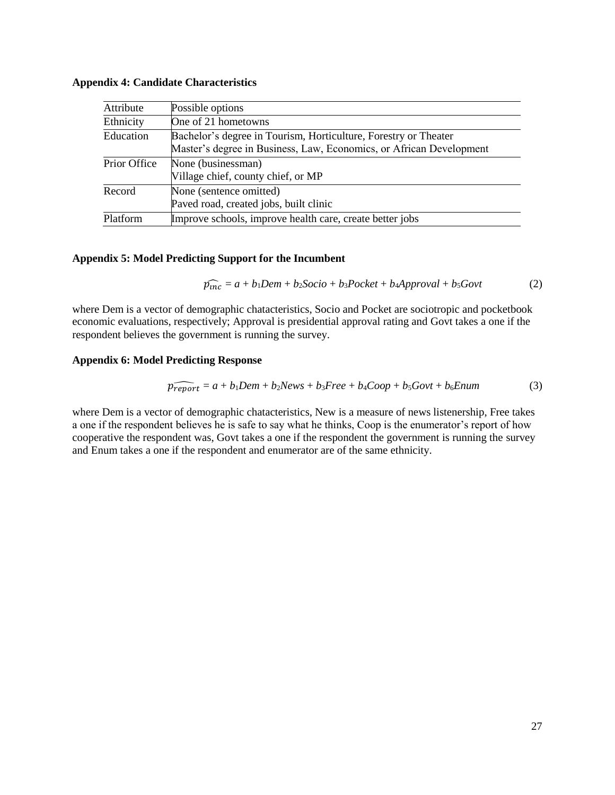### **Appendix 4: Candidate Characteristics**

| Attribute    | Possible options                                                                                                                       |
|--------------|----------------------------------------------------------------------------------------------------------------------------------------|
| Ethnicity    | One of 21 hometowns                                                                                                                    |
| Education    | Bachelor's degree in Tourism, Horticulture, Forestry or Theater<br>Master's degree in Business, Law, Economics, or African Development |
| Prior Office | None (businessman)<br>Village chief, county chief, or MP                                                                               |
| Record       | None (sentence omitted)<br>Paved road, created jobs, built clinic                                                                      |
| Platform     | Improve schools, improve health care, create better jobs                                                                               |

#### **Appendix 5: Model Predicting Support for the Incumbent**

$$
\widehat{p_{inc}} = a + b_1 Dem + b_2Socio + b_3Pocket + b_4Approxal + b_5Govt
$$
 (2)

where Dem is a vector of demographic chatacteristics, Socio and Pocket are sociotropic and pocketbook economic evaluations, respectively; Approval is presidential approval rating and Govt takes a one if the respondent believes the government is running the survey.

#### **Appendix 6: Model Predicting Response**

$$
\widehat{p_{report}} = a + b_1 Dem + b_2News + b_3 Free + b_4 Cooper + b_5Govt + b_6Enum
$$
\n(3)

where Dem is a vector of demographic chatacteristics, New is a measure of news listenership, Free takes a one if the respondent believes he is safe to say what he thinks, Coop is the enumerator's report of how cooperative the respondent was, Govt takes a one if the respondent the government is running the survey and Enum takes a one if the respondent and enumerator are of the same ethnicity.